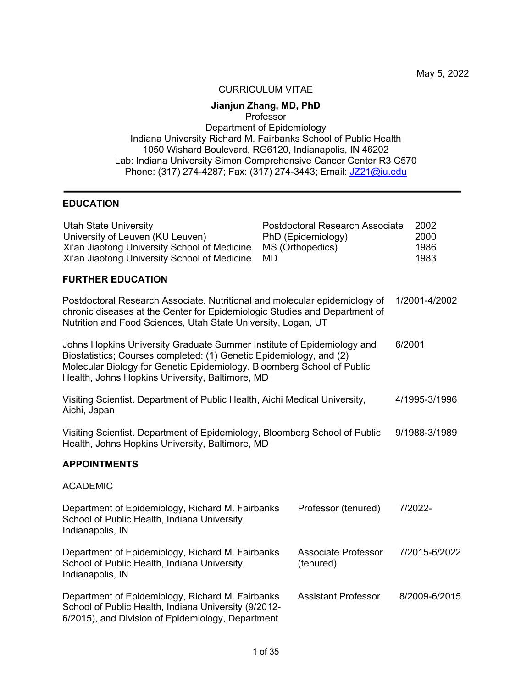May 5, 2022

#### CURRICULUM VITAE

# **Jianjun Zhang, MD, PhD**

Professor

Department of Epidemiology Indiana University Richard M. Fairbanks School of Public Health 1050 Wishard Boulevard, RG6120, Indianapolis, IN 46202 Lab: Indiana University Simon Comprehensive Cancer Center R3 C570 Phone: (317) 274-4287; Fax: (317) 274-3443; Email: JZ21@iu.edu

### **EDUCATION**

| <b>Utah State University</b><br>University of Leuven (KU Leuven)<br>Xi'an Jiaotong University School of Medicine<br>Xi'an Jiaotong University School of Medicine                                                                                                           | <b>Postdoctoral Research Associate</b><br>PhD (Epidemiology)<br>MS (Orthopedics)<br>MD | 2002<br>2000<br>1986<br>1983 |
|----------------------------------------------------------------------------------------------------------------------------------------------------------------------------------------------------------------------------------------------------------------------------|----------------------------------------------------------------------------------------|------------------------------|
| <b>FURTHER EDUCATION</b>                                                                                                                                                                                                                                                   |                                                                                        |                              |
| Postdoctoral Research Associate. Nutritional and molecular epidemiology of<br>chronic diseases at the Center for Epidemiologic Studies and Department of<br>Nutrition and Food Sciences, Utah State University, Logan, UT                                                  |                                                                                        | 1/2001-4/2002                |
| Johns Hopkins University Graduate Summer Institute of Epidemiology and<br>Biostatistics; Courses completed: (1) Genetic Epidemiology, and (2)<br>Molecular Biology for Genetic Epidemiology. Bloomberg School of Public<br>Health, Johns Hopkins University, Baltimore, MD |                                                                                        | 6/2001                       |
| Visiting Scientist. Department of Public Health, Aichi Medical University,<br>Aichi, Japan                                                                                                                                                                                 |                                                                                        | 4/1995-3/1996                |
| Visiting Scientist. Department of Epidemiology, Bloomberg School of Public<br>Health, Johns Hopkins University, Baltimore, MD                                                                                                                                              |                                                                                        | 9/1988-3/1989                |
| <b>APPOINTMENTS</b>                                                                                                                                                                                                                                                        |                                                                                        |                              |
| <b>ACADEMIC</b>                                                                                                                                                                                                                                                            |                                                                                        |                              |
| Department of Epidemiology, Richard M. Fairbanks<br>School of Public Health, Indiana University,<br>Indianapolis, IN                                                                                                                                                       | Professor (tenured)                                                                    | 7/2022-                      |
| Department of Epidemiology, Richard M. Fairbanks<br>School of Public Health, Indiana University,<br>Indianapolis, IN                                                                                                                                                       | <b>Associate Professor</b><br>(tenured)                                                | 7/2015-6/2022                |
| Department of Epidemiology, Richard M. Fairbanks<br>School of Public Health, Indiana University (9/2012-<br>6/2015), and Division of Epidemiology, Department                                                                                                              | <b>Assistant Professor</b>                                                             | 8/2009-6/2015                |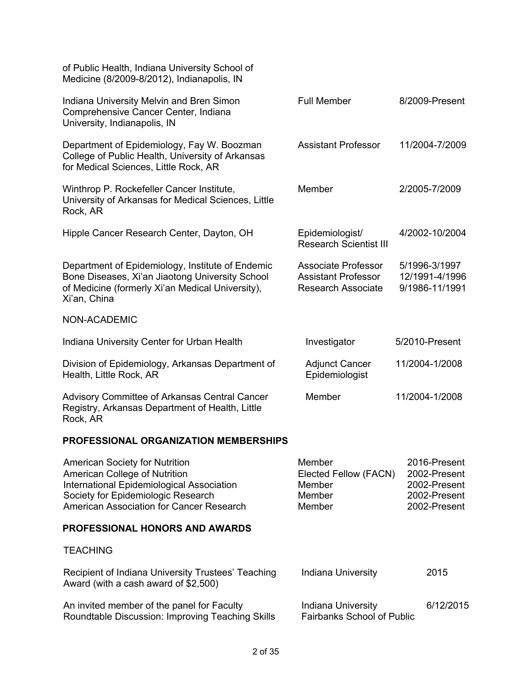| of Public Health, Indiana University School of<br>Medicine (8/2009-8/2012), Indianapolis, IN                                                                                                          |                                                                                |                                                                              |
|-------------------------------------------------------------------------------------------------------------------------------------------------------------------------------------------------------|--------------------------------------------------------------------------------|------------------------------------------------------------------------------|
| Indiana University Melvin and Bren Simon<br>Comprehensive Cancer Center, Indiana<br>University, Indianapolis, IN                                                                                      | <b>Full Member</b>                                                             | 8/2009-Present                                                               |
| Department of Epidemiology, Fay W. Boozman<br>College of Public Health, University of Arkansas<br>for Medical Sciences, Little Rock, AR                                                               | <b>Assistant Professor</b>                                                     | 11/2004-7/2009                                                               |
| Winthrop P. Rockefeller Cancer Institute,<br>University of Arkansas for Medical Sciences, Little<br>Rock, AR                                                                                          | Member                                                                         | 2/2005-7/2009                                                                |
| Hipple Cancer Research Center, Dayton, OH                                                                                                                                                             | Epidemiologist/<br><b>Research Scientist III</b>                               | 4/2002-10/2004                                                               |
| Department of Epidemiology, Institute of Endemic<br>Bone Diseases, Xi'an Jiaotong University School<br>of Medicine (formerly Xi'an Medical University),<br>Xi'an, China                               | Associate Professor<br><b>Assistant Professor</b><br><b>Research Associate</b> | 5/1996-3/1997<br>12/1991-4/1996<br>9/1986-11/1991                            |
| NON-ACADEMIC                                                                                                                                                                                          |                                                                                |                                                                              |
| Indiana University Center for Urban Health                                                                                                                                                            | Investigator                                                                   | 5/2010-Present                                                               |
| Division of Epidemiology, Arkansas Department of<br>Health, Little Rock, AR                                                                                                                           | <b>Adjunct Cancer</b><br>Epidemiologist                                        | 11/2004-1/2008                                                               |
| <b>Advisory Committee of Arkansas Central Cancer</b><br>Registry, Arkansas Department of Health, Little<br>Rock, AR                                                                                   | Member<br>11/2004-1/2008                                                       |                                                                              |
| <b>PROFESSIONAL ORGANIZATION MEMBERSHIPS</b>                                                                                                                                                          |                                                                                |                                                                              |
| <b>American Society for Nutrition</b><br>American College of Nutrition<br>International Epidemiological Association<br>Society for Epidemiologic Research<br>American Association for Cancer Research | Member<br>Elected Fellow (FACN)<br>Member<br>Member<br>Member                  | 2016-Present<br>2002-Present<br>2002-Present<br>2002-Present<br>2002-Present |
| <b>PROFESSIONAL HONORS AND AWARDS</b>                                                                                                                                                                 |                                                                                |                                                                              |
| <b>TEACHING</b>                                                                                                                                                                                       |                                                                                |                                                                              |
| Recipient of Indiana University Trustees' Teaching<br>Award (with a cash award of \$2,500)                                                                                                            | Indiana University                                                             | 2015                                                                         |
| An invited member of the panel for Faculty<br>Roundtable Discussion: Improving Teaching Skills                                                                                                        | Indiana University<br><b>Fairbanks School of Public</b>                        | 6/12/2015                                                                    |
|                                                                                                                                                                                                       |                                                                                |                                                                              |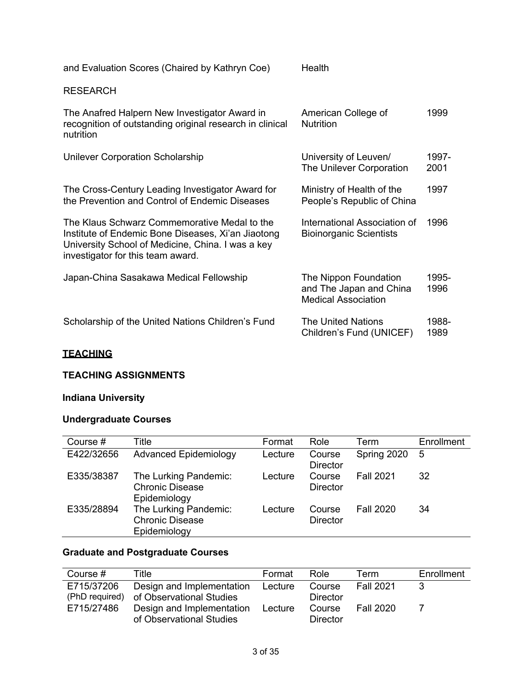| and Evaluation Scores (Chaired by Kathryn Coe)                                                                                                                                               | Health                                                                         |               |
|----------------------------------------------------------------------------------------------------------------------------------------------------------------------------------------------|--------------------------------------------------------------------------------|---------------|
| <b>RESEARCH</b>                                                                                                                                                                              |                                                                                |               |
| The Anafred Halpern New Investigator Award in<br>recognition of outstanding original research in clinical<br>nutrition                                                                       | American College of<br><b>Nutrition</b>                                        | 1999          |
| <b>Unilever Corporation Scholarship</b>                                                                                                                                                      | University of Leuven/<br>The Unilever Corporation                              | 1997-<br>2001 |
| The Cross-Century Leading Investigator Award for<br>the Prevention and Control of Endemic Diseases                                                                                           | Ministry of Health of the<br>People's Republic of China                        | 1997          |
| The Klaus Schwarz Commemorative Medal to the<br>Institute of Endemic Bone Diseases, Xi'an Jiaotong<br>University School of Medicine, China. I was a key<br>investigator for this team award. | International Association of<br><b>Bioinorganic Scientists</b>                 | 1996          |
| Japan-China Sasakawa Medical Fellowship                                                                                                                                                      | The Nippon Foundation<br>and The Japan and China<br><b>Medical Association</b> | 1995-<br>1996 |
| Scholarship of the United Nations Children's Fund                                                                                                                                            | <b>The United Nations</b><br>Children's Fund (UNICEF)                          | 1988-<br>1989 |
|                                                                                                                                                                                              |                                                                                |               |

## **TEACHING**

## **TEACHING ASSIGNMENTS**

# **Indiana University**

## **Undergraduate Courses**

| Course #   | Title                                                           | Format  | Role                      | Term             | Enrollment |
|------------|-----------------------------------------------------------------|---------|---------------------------|------------------|------------|
| E422/32656 | <b>Advanced Epidemiology</b>                                    | Lecture | Course<br><b>Director</b> | Spring 2020      | 5          |
| E335/38387 | The Lurking Pandemic:<br><b>Chronic Disease</b><br>Epidemiology | Lecture | Course<br><b>Director</b> | <b>Fall 2021</b> | 32         |
| E335/28894 | The Lurking Pandemic:<br><b>Chronic Disease</b><br>Epidemiology | Lecture | Course<br><b>Director</b> | <b>Fall 2020</b> | 34         |

# **Graduate and Postgraduate Courses**

| Course #   | Title                                                                | Format  | Role                      | Term             | Enrollment |
|------------|----------------------------------------------------------------------|---------|---------------------------|------------------|------------|
| E715/37206 | Design and Implementation<br>(PhD required) of Observational Studies | Lecture | Course<br><b>Director</b> | <b>Fall 2021</b> |            |
| E715/27486 | Design and Implementation<br>of Observational Studies                | Lecture | Course<br><b>Director</b> | <b>Fall 2020</b> |            |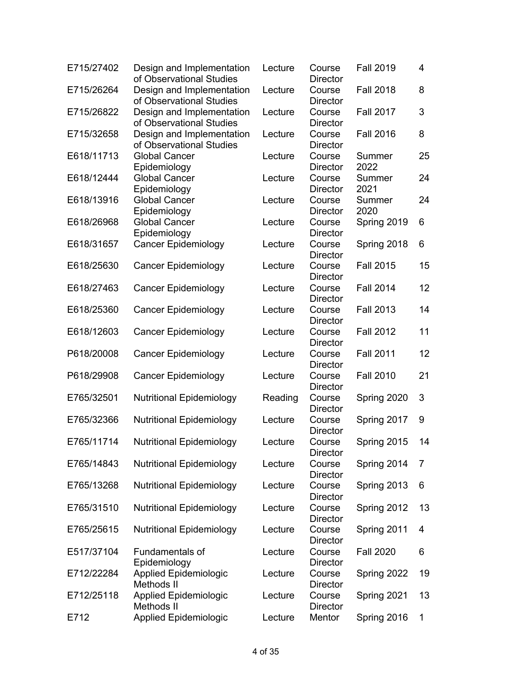| E715/27402 | Design and Implementation<br>of Observational Studies | Lecture | Course<br><b>Director</b> | <b>Fall 2019</b> | 4  |
|------------|-------------------------------------------------------|---------|---------------------------|------------------|----|
| E715/26264 | Design and Implementation<br>of Observational Studies | Lecture | Course<br><b>Director</b> | <b>Fall 2018</b> | 8  |
| E715/26822 | Design and Implementation<br>of Observational Studies | Lecture | Course<br><b>Director</b> | <b>Fall 2017</b> | 3  |
| E715/32658 | Design and Implementation<br>of Observational Studies | Lecture | Course<br><b>Director</b> | <b>Fall 2016</b> | 8  |
| E618/11713 | <b>Global Cancer</b><br>Epidemiology                  | Lecture | Course<br><b>Director</b> | Summer<br>2022   | 25 |
| E618/12444 | <b>Global Cancer</b><br>Epidemiology                  | Lecture | Course<br><b>Director</b> | Summer<br>2021   | 24 |
| E618/13916 | <b>Global Cancer</b><br>Epidemiology                  | Lecture | Course<br><b>Director</b> | Summer<br>2020   | 24 |
| E618/26968 | <b>Global Cancer</b><br>Epidemiology                  | Lecture | Course<br><b>Director</b> | Spring 2019      | 6  |
| E618/31657 | <b>Cancer Epidemiology</b>                            | Lecture | Course<br><b>Director</b> | Spring 2018      | 6  |
| E618/25630 | <b>Cancer Epidemiology</b>                            | Lecture | Course<br><b>Director</b> | <b>Fall 2015</b> | 15 |
| E618/27463 | <b>Cancer Epidemiology</b>                            | Lecture | Course<br><b>Director</b> | <b>Fall 2014</b> | 12 |
| E618/25360 | <b>Cancer Epidemiology</b>                            | Lecture | Course<br><b>Director</b> | <b>Fall 2013</b> | 14 |
| E618/12603 | <b>Cancer Epidemiology</b>                            | Lecture | Course<br>Director        | <b>Fall 2012</b> | 11 |
| P618/20008 | <b>Cancer Epidemiology</b>                            | Lecture | Course<br><b>Director</b> | <b>Fall 2011</b> | 12 |
| P618/29908 | <b>Cancer Epidemiology</b>                            | Lecture | Course<br><b>Director</b> | <b>Fall 2010</b> | 21 |
| E765/32501 | <b>Nutritional Epidemiology</b>                       | Reading | Course<br><b>Director</b> | Spring 2020      | 3  |
| E765/32366 | <b>Nutritional Epidemiology</b>                       | Lecture | Course<br><b>Director</b> | Spring 2017      | 9  |
| E765/11714 | <b>Nutritional Epidemiology</b>                       | Lecture | Course<br>Director        | Spring 2015      | 14 |
| E765/14843 | <b>Nutritional Epidemiology</b>                       | Lecture | Course<br><b>Director</b> | Spring 2014      | 7  |
| E765/13268 | <b>Nutritional Epidemiology</b>                       | Lecture | Course<br><b>Director</b> | Spring 2013      | 6  |
| E765/31510 | <b>Nutritional Epidemiology</b>                       | Lecture | Course<br><b>Director</b> | Spring 2012      | 13 |
| E765/25615 | <b>Nutritional Epidemiology</b>                       | Lecture | Course<br><b>Director</b> | Spring 2011      | 4  |
| E517/37104 | Fundamentals of<br>Epidemiology                       | Lecture | Course<br><b>Director</b> | <b>Fall 2020</b> | 6  |
| E712/22284 | <b>Applied Epidemiologic</b><br>Methods II            | Lecture | Course<br><b>Director</b> | Spring 2022      | 19 |
| E712/25118 | <b>Applied Epidemiologic</b><br>Methods II            | Lecture | Course<br><b>Director</b> | Spring 2021      | 13 |
| E712       | <b>Applied Epidemiologic</b>                          | Lecture | Mentor                    | Spring 2016      | 1  |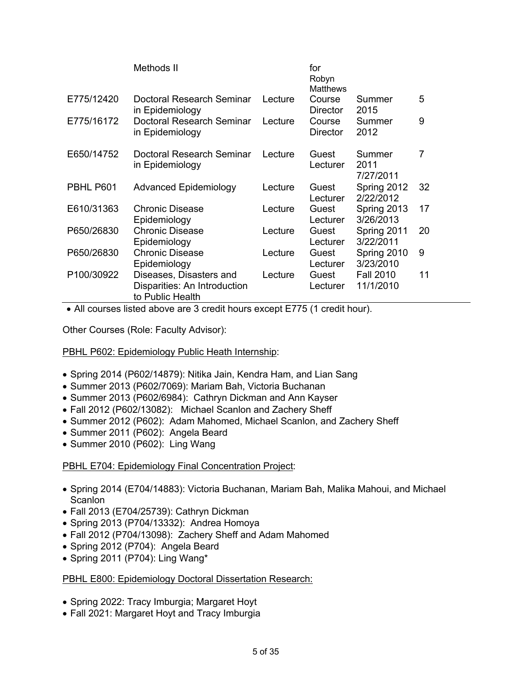|            | Methods II                                                                  |         | for<br>Robyn<br><b>Matthews</b> |                               |    |
|------------|-----------------------------------------------------------------------------|---------|---------------------------------|-------------------------------|----|
| E775/12420 | Doctoral Research Seminar<br>in Epidemiology                                | Lecture | Course<br>Director              | Summer<br>2015                | 5  |
| E775/16172 | Doctoral Research Seminar<br>in Epidemiology                                | Lecture | Course<br>Director              | Summer<br>2012                | 9  |
| E650/14752 | Doctoral Research Seminar<br>in Epidemiology                                | Lecture | Guest<br>Lecturer               | Summer<br>2011<br>7/27/2011   | 7  |
| PBHL P601  | <b>Advanced Epidemiology</b>                                                | Lecture | Guest<br>Lecturer               | Spring 2012<br>2/22/2012      | 32 |
| E610/31363 | <b>Chronic Disease</b><br>Epidemiology                                      | Lecture | Guest<br>Lecturer               | Spring 2013<br>3/26/2013      | 17 |
| P650/26830 | <b>Chronic Disease</b><br>Epidemiology                                      | Lecture | Guest<br>Lecturer               | Spring 2011<br>3/22/2011      | 20 |
| P650/26830 | <b>Chronic Disease</b><br>Epidemiology                                      | Lecture | Guest<br>Lecturer               | Spring 2010<br>3/23/2010      | 9  |
| P100/30922 | Diseases, Disasters and<br>Disparities: An Introduction<br>to Public Health | Lecture | Guest<br>Lecturer               | <b>Fall 2010</b><br>11/1/2010 | 11 |

• All courses listed above are 3 credit hours except E775 (1 credit hour).

Other Courses (Role: Faculty Advisor):

PBHL P602: Epidemiology Public Heath Internship:

- Spring 2014 (P602/14879): Nitika Jain, Kendra Ham, and Lian Sang
- Summer 2013 (P602/7069): Mariam Bah, Victoria Buchanan
- Summer 2013 (P602/6984): Cathryn Dickman and Ann Kayser
- Fall 2012 (P602/13082): Michael Scanlon and Zachery Sheff
- Summer 2012 (P602): Adam Mahomed, Michael Scanlon, and Zachery Sheff
- Summer 2011 (P602): Angela Beard
- Summer 2010 (P602): Ling Wang

PBHL E704: Epidemiology Final Concentration Project:

- Spring 2014 (E704/14883): Victoria Buchanan, Mariam Bah, Malika Mahoui, and Michael **Scanlon**
- Fall 2013 (E704/25739): Cathryn Dickman
- Spring 2013 (P704/13332): Andrea Homoya
- Fall 2012 (P704/13098): Zachery Sheff and Adam Mahomed
- Spring 2012 (P704): Angela Beard
- Spring 2011 (P704): Ling Wang\*

#### PBHL E800: Epidemiology Doctoral Dissertation Research:

- Spring 2022: Tracy Imburgia; Margaret Hoyt
- Fall 2021: Margaret Hoyt and Tracy Imburgia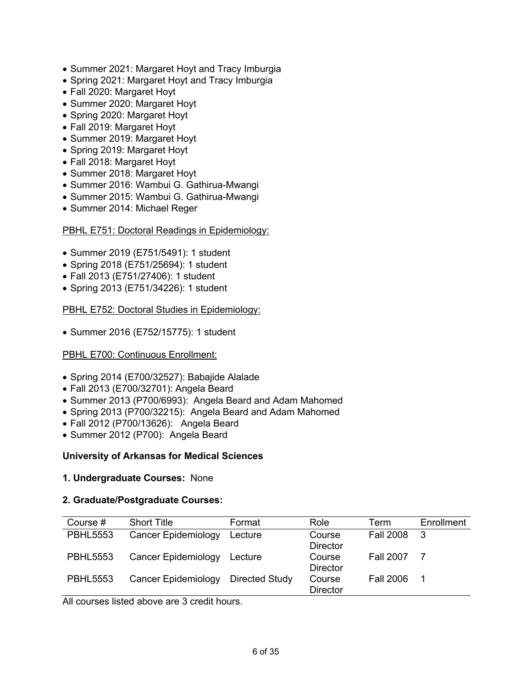- Summer 2021: Margaret Hoyt and Tracy Imburgia
- Spring 2021: Margaret Hoyt and Tracy Imburgia
- Fall 2020: Margaret Hoyt
- Summer 2020: Margaret Hoyt
- Spring 2020: Margaret Hoyt
- Fall 2019: Margaret Hoyt
- Summer 2019: Margaret Hoyt
- Spring 2019: Margaret Hoyt
- Fall 2018: Margaret Hoyt
- Summer 2018: Margaret Hoyt
- Summer 2016: Wambui G. Gathirua-Mwangi
- Summer 2015: Wambui G. Gathirua-Mwangi
- Summer 2014: Michael Reger

### PBHL E751: Doctoral Readings in Epidemiology:

- Summer 2019 (E751/5491): 1 student
- Spring 2018 (E751/25694): 1 student
- Fall 2013 (E751/27406): 1 student
- Spring 2013 (E751/34226): 1 student

PBHL E752: Doctoral Studies in Epidemiology:

• Summer 2016 (E752/15775): 1 student

### PBHL E700: Continuous Enrollment:

- Spring 2014 (E700/32527): Babajide Alalade
- Fall 2013 (E700/32701): Angela Beard
- Summer 2013 (P700/6993): Angela Beard and Adam Mahomed
- Spring 2013 (P700/32215): Angela Beard and Adam Mahomed
- Fall 2012 (P700/13626): Angela Beard
- Summer 2012 (P700): Angela Beard

### **University of Arkansas for Medical Sciences**

#### **1. Undergraduate Courses:** None

### **2. Graduate/Postgraduate Courses:**

| Course #        | <b>Short Title</b>         | Format                | Role            | Term             | Enrollment |
|-----------------|----------------------------|-----------------------|-----------------|------------------|------------|
| <b>PBHL5553</b> | <b>Cancer Epidemiology</b> | Lecture               | Course          | <b>Fall 2008</b> | -3         |
|                 |                            |                       | <b>Director</b> |                  |            |
| <b>PBHL5553</b> | Cancer Epidemiology        | Lecture               | Course          | <b>Fall 2007</b> | -7         |
|                 |                            |                       | <b>Director</b> |                  |            |
| <b>PBHL5553</b> | Cancer Epidemiology        | <b>Directed Study</b> | Course          | <b>Fall 2006</b> | 1          |
|                 |                            |                       | <b>Director</b> |                  |            |

All courses listed above are 3 credit hours.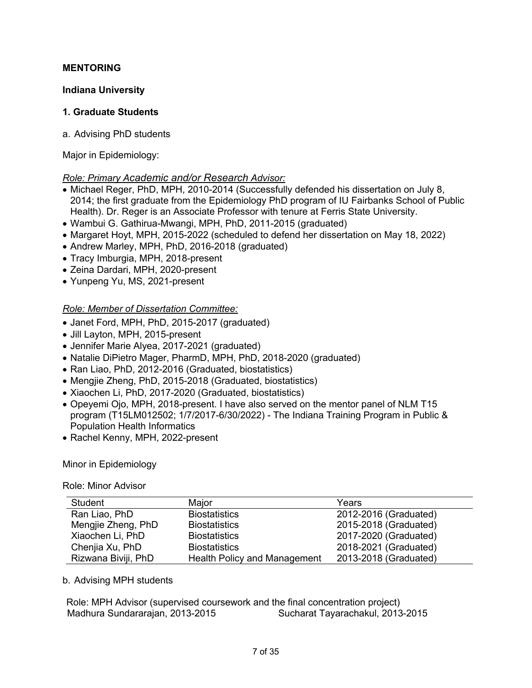## **MENTORING**

### **Indiana University**

### **1. Graduate Students**

a. Advising PhD students

Major in Epidemiology:

## *Role: Primary Academic and/or Research Advisor:*

- Michael Reger, PhD, MPH, 2010-2014 (Successfully defended his dissertation on July 8, 2014; the first graduate from the Epidemiology PhD program of IU Fairbanks School of Public Health). Dr. Reger is an Associate Professor with tenure at Ferris State University.
- Wambui G. Gathirua-Mwangi, MPH, PhD, 2011-2015 (graduated)
- Margaret Hoyt, MPH, 2015-2022 (scheduled to defend her dissertation on May 18, 2022)
- Andrew Marley, MPH, PhD, 2016-2018 (graduated)
- Tracy Imburgia, MPH, 2018-present
- Zeina Dardari, MPH, 2020-present
- Yunpeng Yu, MS, 2021-present

## *Role: Member of Dissertation Committee:*

- Janet Ford, MPH, PhD, 2015-2017 (graduated)
- Jill Layton, MPH, 2015-present
- Jennifer Marie Alyea, 2017-2021 (graduated)
- Natalie DiPietro Mager, PharmD, MPH, PhD, 2018-2020 (graduated)
- Ran Liao, PhD, 2012-2016 (Graduated, biostatistics)
- Mengjie Zheng, PhD, 2015-2018 (Graduated, biostatistics)
- Xiaochen Li, PhD, 2017-2020 (Graduated, biostatistics)
- Opeyemi Ojo, MPH, 2018-present. I have also served on the mentor panel of NLM T15 program (T15LM012502; 1/7/2017-6/30/2022) - The Indiana Training Program in Public & Population Health Informatics
- Rachel Kenny, MPH, 2022-present

Minor in Epidemiology

Role: Minor Advisor

| Student             | Major                               | Years                 |
|---------------------|-------------------------------------|-----------------------|
| Ran Liao, PhD       | <b>Biostatistics</b>                | 2012-2016 (Graduated) |
| Mengjie Zheng, PhD  | <b>Biostatistics</b>                | 2015-2018 (Graduated) |
| Xiaochen Li, PhD    | <b>Biostatistics</b>                | 2017-2020 (Graduated) |
| Chenjia Xu, PhD     | <b>Biostatistics</b>                | 2018-2021 (Graduated) |
| Rizwana Biviji, PhD | <b>Health Policy and Management</b> | 2013-2018 (Graduated) |

### b. Advising MPH students

Role: MPH Advisor (supervised coursework and the final concentration project) Madhura Sundararajan, 2013-2015 Sucharat Tayarachakul, 2013-2015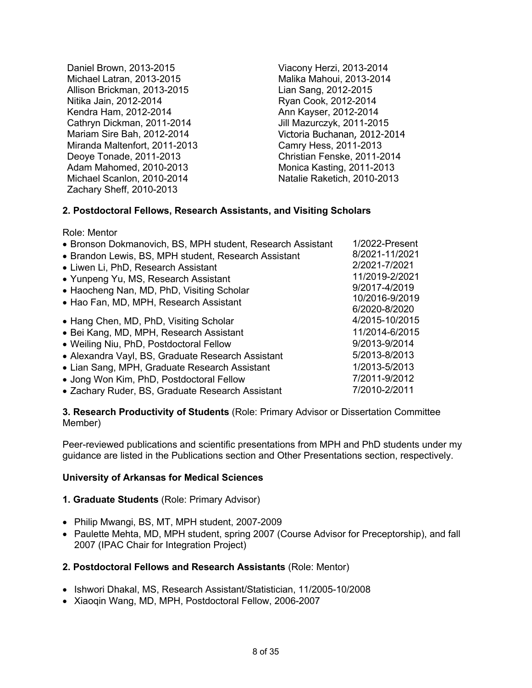Daniel Brown, 2013-2015 Viacony Herzi, 2013-2014 Michael Latran, 2013-2015 Malika Mahoui, 2013-2014 Allison Brickman, 2013-2015 Lian Sang, 2012-2015 Nitika Jain, 2012-2014 Ryan Cook, 2012-2014 Kendra Ham, 2012-2014 **Ann Kayser, 2012-2014** Cathryn Dickman, 2011-2014 Jill Mazurczyk, 2011-2015 Mariam Sire Bah, 2012-2014 Victoria Buchanan, 2012-2014 Miranda Maltenfort, 2011-2013 Camry Hess, 2011-2013 Deoye Tonade, 2011-2013 Christian Fenske, 2011-2014 Adam Mahomed, 2010-2013 Monica Kasting, 2011-2013 Michael Scanlon, 2010-2014 Natalie Raketich, 2010-2013 Zachary Sheff, 2010-2013

## **2. Postdoctoral Fellows, Research Assistants, and Visiting Scholars**

Role: Mentor

| • Bronson Dokmanovich, BS, MPH student, Research Assistant | 1/2022-Present |
|------------------------------------------------------------|----------------|
| • Brandon Lewis, BS, MPH student, Research Assistant       | 8/2021-11/2021 |
| • Liwen Li, PhD, Research Assistant                        | 2/2021-7/2021  |
| • Yunpeng Yu, MS, Research Assistant                       | 11/2019-2/2021 |
| • Haocheng Nan, MD, PhD, Visiting Scholar                  | 9/2017-4/2019  |
| • Hao Fan, MD, MPH, Research Assistant                     | 10/2016-9/2019 |
|                                                            | 6/2020-8/2020  |
| • Hang Chen, MD, PhD, Visiting Scholar                     | 4/2015-10/2015 |
| • Bei Kang, MD, MPH, Research Assistant                    | 11/2014-6/2015 |
| • Weiling Niu, PhD, Postdoctoral Fellow                    | 9/2013-9/2014  |
| • Alexandra Vayl, BS, Graduate Research Assistant          | 5/2013-8/2013  |
| • Lian Sang, MPH, Graduate Research Assistant              | 1/2013-5/2013  |
| • Jong Won Kim, PhD, Postdoctoral Fellow                   | 7/2011-9/2012  |
| • Zachary Ruder, BS, Graduate Research Assistant           | 7/2010-2/2011  |
|                                                            |                |

**3. Research Productivity of Students** (Role: Primary Advisor or Dissertation Committee Member)

Peer-reviewed publications and scientific presentations from MPH and PhD students under my guidance are listed in the Publications section and Other Presentations section, respectively.

### **University of Arkansas for Medical Sciences**

### **1. Graduate Students** (Role: Primary Advisor)

- Philip Mwangi, BS, MT, MPH student, 2007-2009
- Paulette Mehta, MD, MPH student, spring 2007 (Course Advisor for Preceptorship), and fall 2007 (IPAC Chair for Integration Project)

### **2. Postdoctoral Fellows and Research Assistants** (Role: Mentor)

- Ishwori Dhakal, MS, Research Assistant/Statistician, 11/2005-10/2008
- Xiaoqin Wang, MD, MPH, Postdoctoral Fellow, 2006-2007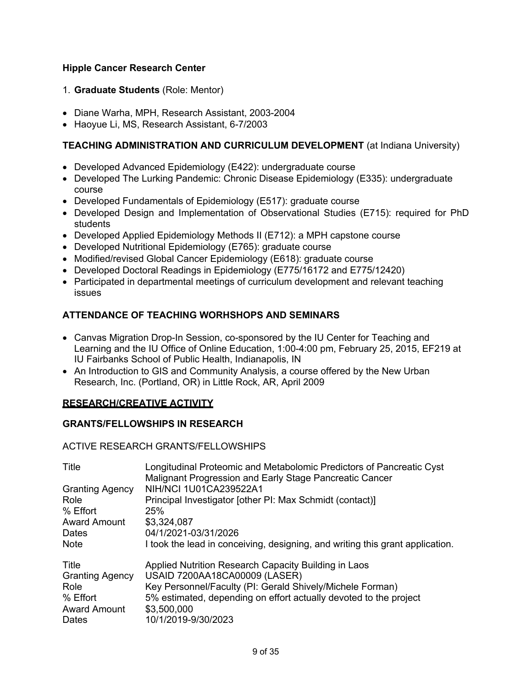## **Hipple Cancer Research Center**

## 1. **Graduate Students** (Role: Mentor)

- Diane Warha, MPH, Research Assistant, 2003-2004
- Haoyue Li, MS, Research Assistant, 6-7/2003

## **TEACHING ADMINISTRATION AND CURRICULUM DEVELOPMENT** (at Indiana University)

- Developed Advanced Epidemiology (E422): undergraduate course
- Developed The Lurking Pandemic: Chronic Disease Epidemiology (E335): undergraduate course
- Developed Fundamentals of Epidemiology (E517): graduate course
- Developed Design and Implementation of Observational Studies (E715): required for PhD students
- Developed Applied Epidemiology Methods II (E712): a MPH capstone course
- Developed Nutritional Epidemiology (E765): graduate course
- Modified/revised Global Cancer Epidemiology (E618): graduate course
- Developed Doctoral Readings in Epidemiology (E775/16172 and E775/12420)
- Participated in departmental meetings of curriculum development and relevant teaching issues

## **ATTENDANCE OF TEACHING WORHSHOPS AND SEMINARS**

- Canvas Migration Drop-In Session, co-sponsored by the IU Center for Teaching and Learning and the IU Office of Online Education, 1:00-4:00 pm, February 25, 2015, EF219 at IU Fairbanks School of Public Health, Indianapolis, IN
- An Introduction to GIS and Community Analysis, a course offered by the New Urban Research, Inc. (Portland, OR) in Little Rock, AR, April 2009

## **RESEARCH/CREATIVE ACTIVITY**

### **GRANTS/FELLOWSHIPS IN RESEARCH**

### ACTIVE RESEARCH GRANTS/FELLOWSHIPS

| Title                  | Longitudinal Proteomic and Metabolomic Predictors of Pancreatic Cyst<br>Malignant Progression and Early Stage Pancreatic Cancer |
|------------------------|---------------------------------------------------------------------------------------------------------------------------------|
| <b>Granting Agency</b> | NIH/NCI 1U01CA239522A1                                                                                                          |
| Role                   | Principal Investigator [other PI: Max Schmidt (contact)]                                                                        |
| % Effort               | <b>25%</b>                                                                                                                      |
| <b>Award Amount</b>    | \$3,324,087                                                                                                                     |
| Dates                  | 04/1/2021-03/31/2026                                                                                                            |
| <b>Note</b>            | I took the lead in conceiving, designing, and writing this grant application.                                                   |
| Title                  | Applied Nutrition Research Capacity Building in Laos                                                                            |
| <b>Granting Agency</b> | USAID 7200AA18CA00009 (LASER)                                                                                                   |
| Role                   | Key Personnel/Faculty (PI: Gerald Shively/Michele Forman)                                                                       |
| % Effort               | 5% estimated, depending on effort actually devoted to the project                                                               |
| <b>Award Amount</b>    | \$3,500,000                                                                                                                     |
| Dates                  | 10/1/2019-9/30/2023                                                                                                             |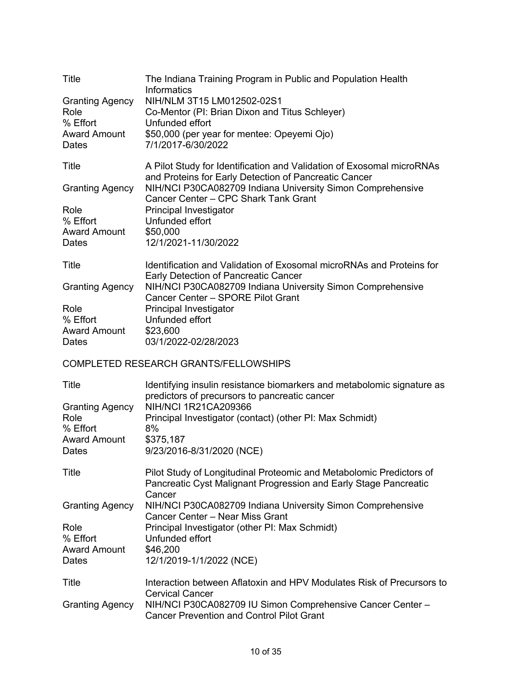| Title                                                                      | The Indiana Training Program in Public and Population Health<br><b>Informatics</b>                                                                |
|----------------------------------------------------------------------------|---------------------------------------------------------------------------------------------------------------------------------------------------|
| <b>Granting Agency</b><br>Role<br>% Effort                                 | NIH/NLM 3T15 LM012502-02S1<br>Co-Mentor (PI: Brian Dixon and Titus Schleyer)<br>Unfunded effort                                                   |
| <b>Award Amount</b><br>Dates                                               | \$50,000 (per year for mentee: Opeyemi Ojo)<br>7/1/2017-6/30/2022                                                                                 |
| Title                                                                      | A Pilot Study for Identification and Validation of Exosomal microRNAs<br>and Proteins for Early Detection of Pancreatic Cancer                    |
| <b>Granting Agency</b>                                                     | NIH/NCI P30CA082709 Indiana University Simon Comprehensive<br>Cancer Center - CPC Shark Tank Grant                                                |
| Role<br>% Effort<br><b>Award Amount</b><br>Dates                           | Principal Investigator<br>Unfunded effort<br>\$50,000<br>12/1/2021-11/30/2022                                                                     |
| Title                                                                      | Identification and Validation of Exosomal microRNAs and Proteins for<br>Early Detection of Pancreatic Cancer                                      |
| <b>Granting Agency</b>                                                     | NIH/NCI P30CA082709 Indiana University Simon Comprehensive<br>Cancer Center - SPORE Pilot Grant                                                   |
| Role<br>% Effort<br><b>Award Amount</b><br>Dates                           | Principal Investigator<br>Unfunded effort<br>\$23,600<br>03/1/2022-02/28/2023                                                                     |
|                                                                            | <b>COMPLETED RESEARCH GRANTS/FELLOWSHIPS</b>                                                                                                      |
| Title                                                                      | Identifying insulin resistance biomarkers and metabolomic signature as<br>predictors of precursors to pancreatic cancer                           |
| <b>Granting Agency</b><br>Role<br>% Effort<br><b>Award Amount</b><br>Dates | NIH/NCI 1R21CA209366<br>Principal Investigator (contact) (other PI: Max Schmidt)<br>8%<br>\$375,187<br>9/23/2016-8/31/2020 (NCE)                  |
| Title                                                                      | Pilot Study of Longitudinal Proteomic and Metabolomic Predictors of<br>Pancreatic Cyst Malignant Progression and Early Stage Pancreatic<br>Cancer |
| <b>Granting Agency</b>                                                     | NIH/NCI P30CA082709 Indiana University Simon Comprehensive<br>Cancer Center - Near Miss Grant                                                     |
| Role<br>% Effort<br><b>Award Amount</b><br>Dates                           | Principal Investigator (other PI: Max Schmidt)<br>Unfunded effort<br>\$46,200<br>12/1/2019-1/1/2022 (NCE)                                         |
| Title                                                                      | Interaction between Aflatoxin and HPV Modulates Risk of Precursors to<br><b>Cervical Cancer</b>                                                   |
| <b>Granting Agency</b>                                                     | NIH/NCI P30CA082709 IU Simon Comprehensive Cancer Center -                                                                                        |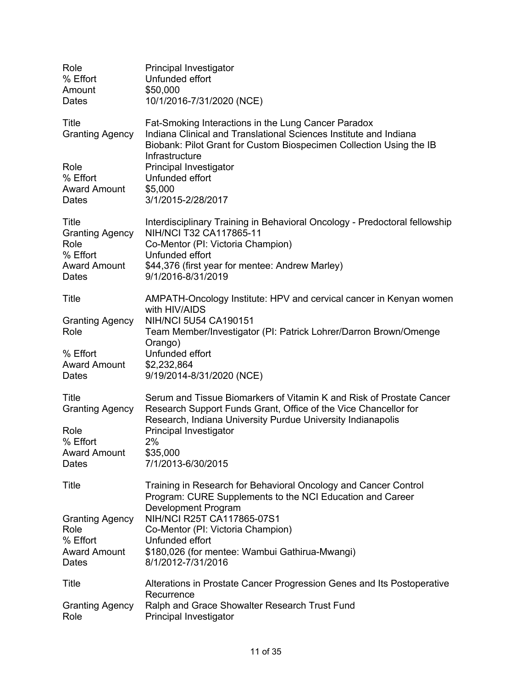| Role<br>% Effort<br>Amount<br>Dates                                                 | Principal Investigator<br>Unfunded effort<br>\$50,000<br>10/1/2016-7/31/2020 (NCE)                                                                                                                                                     |
|-------------------------------------------------------------------------------------|----------------------------------------------------------------------------------------------------------------------------------------------------------------------------------------------------------------------------------------|
| Title<br><b>Granting Agency</b>                                                     | Fat-Smoking Interactions in the Lung Cancer Paradox<br>Indiana Clinical and Translational Sciences Institute and Indiana<br>Biobank: Pilot Grant for Custom Biospecimen Collection Using the IB<br>Infrastructure                      |
| Role<br>% Effort<br><b>Award Amount</b><br>Dates                                    | Principal Investigator<br>Unfunded effort<br>\$5,000<br>3/1/2015-2/28/2017                                                                                                                                                             |
| Title<br><b>Granting Agency</b><br>Role<br>% Effort<br><b>Award Amount</b><br>Dates | Interdisciplinary Training in Behavioral Oncology - Predoctoral fellowship<br>NIH/NCI T32 CA117865-11<br>Co-Mentor (PI: Victoria Champion)<br>Unfunded effort<br>\$44,376 (first year for mentee: Andrew Marley)<br>9/1/2016-8/31/2019 |
| Title                                                                               | AMPATH-Oncology Institute: HPV and cervical cancer in Kenyan women<br>with HIV/AIDS                                                                                                                                                    |
| <b>Granting Agency</b><br>Role                                                      | NIH/NCI 5U54 CA190151<br>Team Member/Investigator (PI: Patrick Lohrer/Darron Brown/Omenge<br>Orango)                                                                                                                                   |
| % Effort<br><b>Award Amount</b><br>Dates                                            | Unfunded effort<br>\$2,232,864<br>9/19/2014-8/31/2020 (NCE)                                                                                                                                                                            |
| <b>Title</b><br><b>Granting Agency</b>                                              | Serum and Tissue Biomarkers of Vitamin K and Risk of Prostate Cancer<br>Research Support Funds Grant, Office of the Vice Chancellor for<br>Research, Indiana University Purdue University Indianapolis                                 |
| Role<br>% Effort<br><b>Award Amount</b><br>Dates                                    | Principal Investigator<br>2%<br>\$35,000<br>7/1/2013-6/30/2015                                                                                                                                                                         |
| Title                                                                               | Training in Research for Behavioral Oncology and Cancer Control<br>Program: CURE Supplements to the NCI Education and Career                                                                                                           |
| <b>Granting Agency</b><br>Role<br>% Effort<br><b>Award Amount</b><br>Dates          | <b>Development Program</b><br>NIH/NCI R25T CA117865-07S1<br>Co-Mentor (PI: Victoria Champion)<br>Unfunded effort<br>\$180,026 (for mentee: Wambui Gathirua-Mwangi)<br>8/1/2012-7/31/2016                                               |
| Title<br><b>Granting Agency</b>                                                     | Alterations in Prostate Cancer Progression Genes and Its Postoperative<br>Recurrence<br>Ralph and Grace Showalter Research Trust Fund                                                                                                  |
| Role                                                                                | Principal Investigator                                                                                                                                                                                                                 |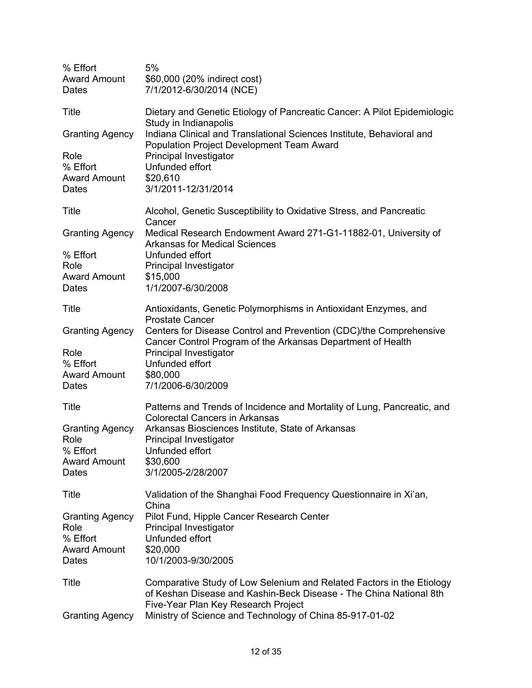| % Effort<br><b>Award Amount</b><br>Dates                                   | 5%<br>\$60,000 (20% indirect cost)<br>7/1/2012-6/30/2014 (NCE)                                                                                                                                                                                 |
|----------------------------------------------------------------------------|------------------------------------------------------------------------------------------------------------------------------------------------------------------------------------------------------------------------------------------------|
| Title                                                                      | Dietary and Genetic Etiology of Pancreatic Cancer: A Pilot Epidemiologic<br>Study in Indianapolis                                                                                                                                              |
| <b>Granting Agency</b>                                                     | Indiana Clinical and Translational Sciences Institute, Behavioral and<br>Population Project Development Team Award                                                                                                                             |
| Role<br>% Effort<br><b>Award Amount</b><br>Dates                           | Principal Investigator<br>Unfunded effort<br>\$20,610<br>3/1/2011-12/31/2014                                                                                                                                                                   |
| Title                                                                      | Alcohol, Genetic Susceptibility to Oxidative Stress, and Pancreatic<br>Cancer                                                                                                                                                                  |
| <b>Granting Agency</b><br>% Effort<br>Role                                 | Medical Research Endowment Award 271-G1-11882-01, University of<br><b>Arkansas for Medical Sciences</b><br>Unfunded effort<br>Principal Investigator                                                                                           |
| <b>Award Amount</b><br>Dates                                               | \$15,000<br>1/1/2007-6/30/2008                                                                                                                                                                                                                 |
| Title                                                                      | Antioxidants, Genetic Polymorphisms in Antioxidant Enzymes, and<br><b>Prostate Cancer</b>                                                                                                                                                      |
| <b>Granting Agency</b>                                                     | Centers for Disease Control and Prevention (CDC)/the Comprehensive<br>Cancer Control Program of the Arkansas Department of Health                                                                                                              |
| Role<br>% Effort<br><b>Award Amount</b><br>Dates                           | Principal Investigator<br>Unfunded effort<br>\$80,000<br>7/1/2006-6/30/2009                                                                                                                                                                    |
| Title                                                                      | Patterns and Trends of Incidence and Mortality of Lung, Pancreatic, and<br><b>Colorectal Cancers in Arkansas</b>                                                                                                                               |
| <b>Granting Agency</b><br>Role<br>% Effort<br><b>Award Amount</b><br>Dates | Arkansas Biosciences Institute, State of Arkansas<br>Principal Investigator<br>Unfunded effort<br>\$30,600<br>3/1/2005-2/28/2007                                                                                                               |
| Title                                                                      | Validation of the Shanghai Food Frequency Questionnaire in Xi'an,<br>China                                                                                                                                                                     |
| <b>Granting Agency</b><br>Role<br>% Effort<br><b>Award Amount</b><br>Dates | Pilot Fund, Hipple Cancer Research Center<br>Principal Investigator<br>Unfunded effort<br>\$20,000<br>10/1/2003-9/30/2005                                                                                                                      |
| Title<br><b>Granting Agency</b>                                            | Comparative Study of Low Selenium and Related Factors in the Etiology<br>of Keshan Disease and Kashin-Beck Disease - The China National 8th<br>Five-Year Plan Key Research Project<br>Ministry of Science and Technology of China 85-917-01-02 |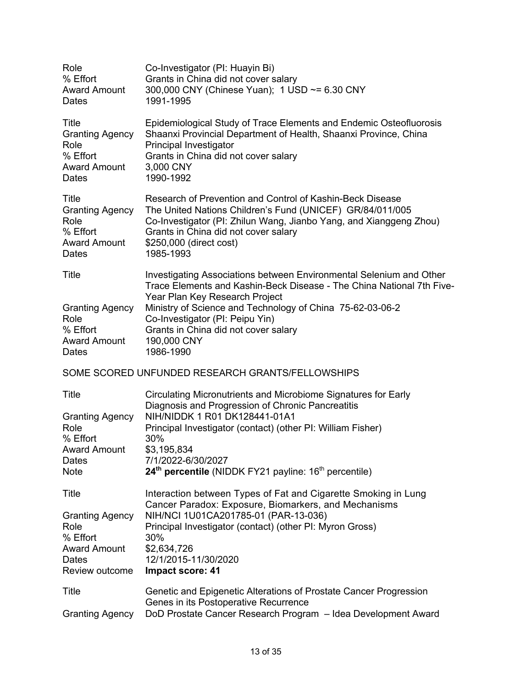| Role<br>% Effort<br><b>Award Amount</b><br>Dates                                                          | Co-Investigator (PI: Huayin Bi)<br>Grants in China did not cover salary<br>300,000 CNY (Chinese Yuan); 1 USD ~= 6.30 CNY<br>1991-1995                                                                                                                                                                                                              |
|-----------------------------------------------------------------------------------------------------------|----------------------------------------------------------------------------------------------------------------------------------------------------------------------------------------------------------------------------------------------------------------------------------------------------------------------------------------------------|
| Title<br><b>Granting Agency</b><br>Role<br>% Effort<br><b>Award Amount</b><br>Dates                       | Epidemiological Study of Trace Elements and Endemic Osteofluorosis<br>Shaanxi Provincial Department of Health, Shaanxi Province, China<br>Principal Investigator<br>Grants in China did not cover salary<br>3,000 CNY<br>1990-1992                                                                                                                 |
| <b>Title</b><br><b>Granting Agency</b><br>Role<br>% Effort<br><b>Award Amount</b><br>Dates                | Research of Prevention and Control of Kashin-Beck Disease<br>The United Nations Children's Fund (UNICEF) GR/84/011/005<br>Co-Investigator (PI: Zhilun Wang, Jianbo Yang, and Xianggeng Zhou)<br>Grants in China did not cover salary<br>\$250,000 (direct cost)<br>1985-1993                                                                       |
| Title<br><b>Granting Agency</b><br>Role<br>% Effort<br><b>Award Amount</b><br>Dates                       | Investigating Associations between Environmental Selenium and Other<br>Trace Elements and Kashin-Beck Disease - The China National 7th Five-<br>Year Plan Key Research Project<br>Ministry of Science and Technology of China 75-62-03-06-2<br>Co-Investigator (PI: Peipu Yin)<br>Grants in China did not cover salary<br>190,000 CNY<br>1986-1990 |
|                                                                                                           | SOME SCORED UNFUNDED RESEARCH GRANTS/FELLOWSHIPS                                                                                                                                                                                                                                                                                                   |
| <b>Title</b><br><b>Granting Agency</b><br>Role<br>% Effort<br><b>Award Amount</b><br>Dates<br><b>Note</b> | Circulating Micronutrients and Microbiome Signatures for Early<br>Diagnosis and Progression of Chronic Pancreatitis<br>NIH/NIDDK 1 R01 DK128441-01A1<br>Principal Investigator (contact) (other PI: William Fisher)<br>30%<br>\$3,195,834<br>7/1/2022-6/30/2027<br>24 <sup>th</sup> percentile (NIDDK FY21 payline: 16 <sup>th</sup> percentile)   |
| Title                                                                                                     | Interaction between Types of Fat and Cigarette Smoking in Lung                                                                                                                                                                                                                                                                                     |
| <b>Granting Agency</b><br>Role<br>% Effort<br><b>Award Amount</b><br><b>Dates</b><br>Review outcome       | Cancer Paradox: Exposure, Biomarkers, and Mechanisms<br>NIH/NCI 1U01CA201785-01 (PAR-13-036)<br>Principal Investigator (contact) (other PI: Myron Gross)<br>30%<br>\$2,634,726<br>12/1/2015-11/30/2020<br><b>Impact score: 41</b>                                                                                                                  |
| Title<br><b>Granting Agency</b>                                                                           | Genetic and Epigenetic Alterations of Prostate Cancer Progression<br>Genes in its Postoperative Recurrence<br>DoD Prostate Cancer Research Program - Idea Development Award                                                                                                                                                                        |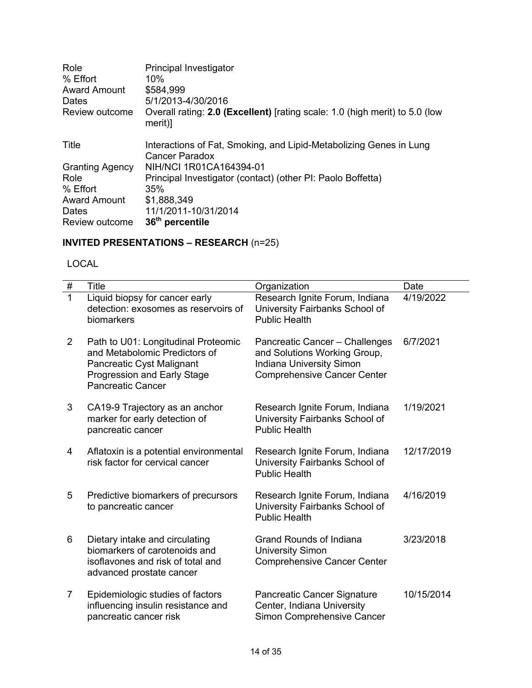| Role<br>% Effort<br><b>Award Amount</b><br>Dates<br>Review outcome | Principal Investigator<br>10%<br>\$584,999<br>5/1/2013-4/30/2016<br>Overall rating: 2.0 (Excellent) [rating scale: 1.0 (high merit) to 5.0 (low<br>merit)] |
|--------------------------------------------------------------------|------------------------------------------------------------------------------------------------------------------------------------------------------------|
| Title                                                              | Interactions of Fat, Smoking, and Lipid-Metabolizing Genes in Lung<br>Cancer Paradox                                                                       |
| <b>Granting Agency</b>                                             | NIH/NCI 1R01CA164394-01                                                                                                                                    |
| Role                                                               | Principal Investigator (contact) (other PI: Paolo Boffetta)                                                                                                |
| % Effort                                                           | 35%                                                                                                                                                        |
| <b>Award Amount</b>                                                | \$1,888,349                                                                                                                                                |
| Dates                                                              | 11/1/2011-10/31/2014                                                                                                                                       |
| Review outcome                                                     | 36 <sup>th</sup> percentile                                                                                                                                |

## **INVITED PRESENTATIONS – RESEARCH** (n=25)

LOCAL

| $\#$           | <b>Title</b>                                                                                                                                                 | Organization                                                                                                                     | Date       |
|----------------|--------------------------------------------------------------------------------------------------------------------------------------------------------------|----------------------------------------------------------------------------------------------------------------------------------|------------|
| $\overline{1}$ | Liquid biopsy for cancer early<br>detection: exosomes as reservoirs of<br>biomarkers                                                                         | Research Ignite Forum, Indiana<br>University Fairbanks School of<br><b>Public Health</b>                                         | 4/19/2022  |
| $\overline{2}$ | Path to U01: Longitudinal Proteomic<br>and Metabolomic Predictors of<br>Pancreatic Cyst Malignant<br>Progression and Early Stage<br><b>Pancreatic Cancer</b> | Pancreatic Cancer - Challenges<br>and Solutions Working Group,<br>Indiana University Simon<br><b>Comprehensive Cancer Center</b> | 6/7/2021   |
| 3              | CA19-9 Trajectory as an anchor<br>marker for early detection of<br>pancreatic cancer                                                                         | Research Ignite Forum, Indiana<br>University Fairbanks School of<br><b>Public Health</b>                                         | 1/19/2021  |
| 4              | Aflatoxin is a potential environmental<br>risk factor for cervical cancer                                                                                    | Research Ignite Forum, Indiana<br>University Fairbanks School of<br><b>Public Health</b>                                         | 12/17/2019 |
| 5              | Predictive biomarkers of precursors<br>to pancreatic cancer                                                                                                  | Research Ignite Forum, Indiana<br>University Fairbanks School of<br><b>Public Health</b>                                         | 4/16/2019  |
| 6              | Dietary intake and circulating<br>biomarkers of carotenoids and<br>isoflavones and risk of total and<br>advanced prostate cancer                             | Grand Rounds of Indiana<br><b>University Simon</b><br><b>Comprehensive Cancer Center</b>                                         | 3/23/2018  |
| 7              | Epidemiologic studies of factors<br>influencing insulin resistance and<br>pancreatic cancer risk                                                             | Pancreatic Cancer Signature<br>Center, Indiana University<br>Simon Comprehensive Cancer                                          | 10/15/2014 |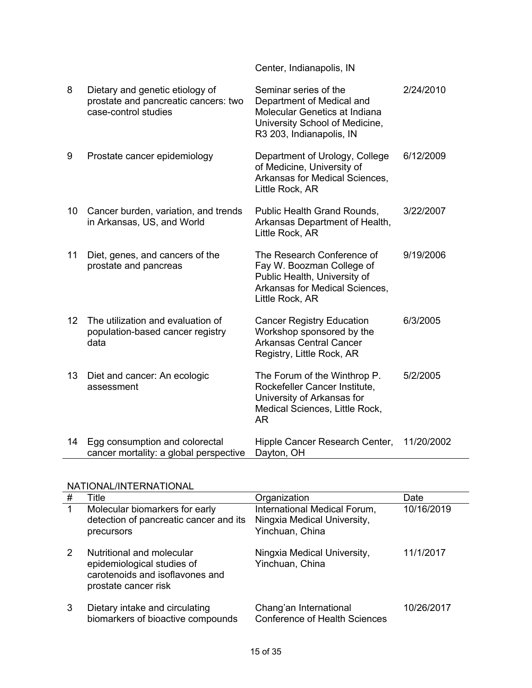| 8  | Dietary and genetic etiology of<br>prostate and pancreatic cancers: two<br>case-control studies | Seminar series of the<br>Department of Medical and<br>Molecular Genetics at Indiana<br>University School of Medicine,<br>R3 203, Indianapolis, IN | 2/24/2010  |
|----|-------------------------------------------------------------------------------------------------|---------------------------------------------------------------------------------------------------------------------------------------------------|------------|
| 9  | Prostate cancer epidemiology                                                                    | Department of Urology, College<br>of Medicine, University of<br>Arkansas for Medical Sciences,<br>Little Rock, AR                                 | 6/12/2009  |
| 10 | Cancer burden, variation, and trends<br>in Arkansas, US, and World                              | Public Health Grand Rounds,<br>Arkansas Department of Health,<br>Little Rock, AR                                                                  | 3/22/2007  |
| 11 | Diet, genes, and cancers of the<br>prostate and pancreas                                        | The Research Conference of<br>Fay W. Boozman College of<br>Public Health, University of<br>Arkansas for Medical Sciences,<br>Little Rock, AR      | 9/19/2006  |
| 12 | The utilization and evaluation of<br>population-based cancer registry<br>data                   | <b>Cancer Registry Education</b><br>Workshop sponsored by the<br><b>Arkansas Central Cancer</b><br>Registry, Little Rock, AR                      | 6/3/2005   |
| 13 | Diet and cancer: An ecologic<br>assessment                                                      | The Forum of the Winthrop P.<br>Rockefeller Cancer Institute,<br>University of Arkansas for<br>Medical Sciences, Little Rock,<br><b>AR</b>        | 5/2/2005   |
| 14 | Egg consumption and colorectal<br>cancer mortality: a global perspective                        | Hipple Cancer Research Center,<br>Dayton, OH                                                                                                      | 11/20/2002 |

Center, Indianapolis, IN

## NATIONAL/INTERNATIONAL

| # | Title                                                                                                              | Organization                                                                   | Date       |
|---|--------------------------------------------------------------------------------------------------------------------|--------------------------------------------------------------------------------|------------|
| 1 | Molecular biomarkers for early<br>detection of pancreatic cancer and its<br>precursors                             | International Medical Forum,<br>Ningxia Medical University,<br>Yinchuan, China | 10/16/2019 |
| 2 | Nutritional and molecular<br>epidemiological studies of<br>carotenoids and isoflavones and<br>prostate cancer risk | Ningxia Medical University,<br>Yinchuan, China                                 | 11/1/2017  |
| 3 | Dietary intake and circulating<br>biomarkers of bioactive compounds                                                | Chang'an International<br><b>Conference of Health Sciences</b>                 | 10/26/2017 |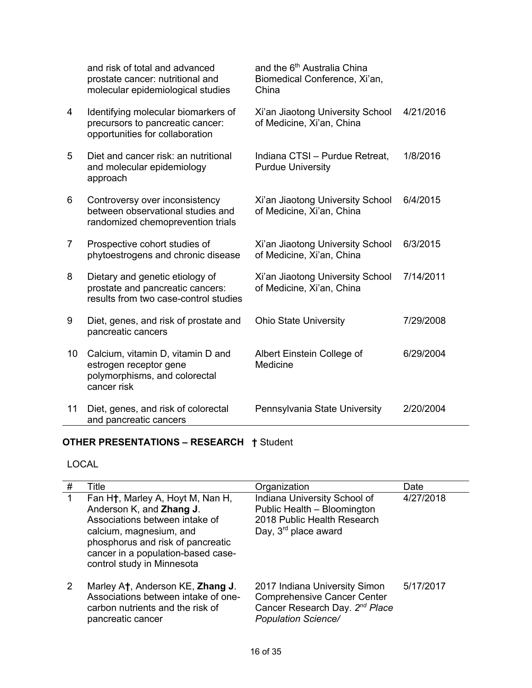|    | and risk of total and advanced<br>prostate cancer: nutritional and<br>molecular epidemiological studies      | and the 6 <sup>th</sup> Australia China<br>Biomedical Conference, Xi'an,<br>China |           |
|----|--------------------------------------------------------------------------------------------------------------|-----------------------------------------------------------------------------------|-----------|
| 4  | Identifying molecular biomarkers of<br>precursors to pancreatic cancer:<br>opportunities for collaboration   | Xi'an Jiaotong University School<br>of Medicine, Xi'an, China                     | 4/21/2016 |
| 5  | Diet and cancer risk: an nutritional<br>and molecular epidemiology<br>approach                               | Indiana CTSI - Purdue Retreat,<br><b>Purdue University</b>                        | 1/8/2016  |
| 6  | Controversy over inconsistency<br>between observational studies and<br>randomized chemoprevention trials     | Xi'an Jiaotong University School<br>of Medicine, Xi'an, China                     | 6/4/2015  |
| 7  | Prospective cohort studies of<br>phytoestrogens and chronic disease                                          | Xi'an Jiaotong University School<br>of Medicine, Xi'an, China                     | 6/3/2015  |
| 8  | Dietary and genetic etiology of<br>prostate and pancreatic cancers:<br>results from two case-control studies | Xi'an Jiaotong University School<br>of Medicine, Xi'an, China                     | 7/14/2011 |
| 9  | Diet, genes, and risk of prostate and<br>pancreatic cancers                                                  | <b>Ohio State University</b>                                                      | 7/29/2008 |
| 10 | Calcium, vitamin D, vitamin D and<br>estrogen receptor gene<br>polymorphisms, and colorectal<br>cancer risk  | Albert Einstein College of<br>Medicine                                            | 6/29/2004 |
| 11 | Diet, genes, and risk of colorectal<br>and pancreatic cancers                                                | Pennsylvania State University                                                     | 2/20/2004 |

# **OTHER PRESENTATIONS – RESEARCH †** Student

# LOCAL

| # | Title                                                                                                                                                                                                                                           | Organization                                                                                                                                    | Date      |
|---|-------------------------------------------------------------------------------------------------------------------------------------------------------------------------------------------------------------------------------------------------|-------------------------------------------------------------------------------------------------------------------------------------------------|-----------|
| 1 | Fan H <sup>†</sup> , Marley A, Hoyt M, Nan H,<br>Anderson K, and Zhang J.<br>Associations between intake of<br>calcium, magnesium, and<br>phosphorus and risk of pancreatic<br>cancer in a population-based case-<br>control study in Minnesota | Indiana University School of<br>Public Health - Bloomington<br>2018 Public Health Research<br>Day, 3 <sup>rd</sup> place award                  | 4/27/2018 |
| 2 | Marley At, Anderson KE, Zhang J.<br>Associations between intake of one-<br>carbon nutrients and the risk of<br>pancreatic cancer                                                                                                                | 2017 Indiana University Simon<br><b>Comprehensive Cancer Center</b><br>Cancer Research Day. 2 <sup>nd</sup> Place<br><b>Population Science/</b> | 5/17/2017 |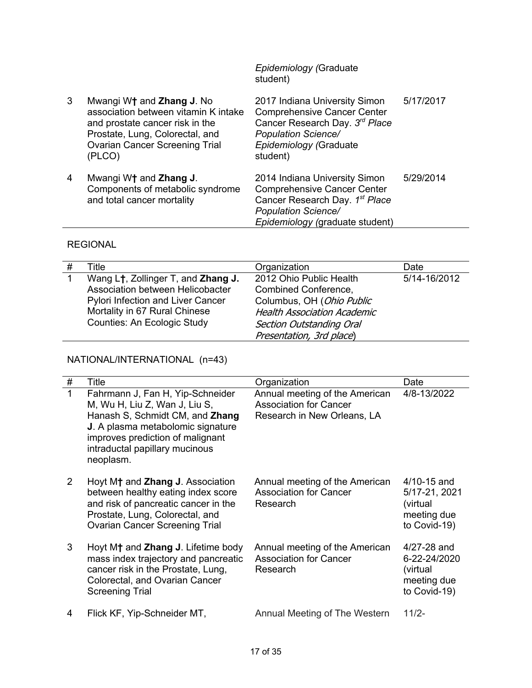*Epidemiology (*Graduate student)

| 3 | Mwangi W† and Zhang J. No<br>association between vitamin K intake<br>and prostate cancer risk in the<br>Prostate, Lung, Colorectal, and<br><b>Ovarian Cancer Screening Trial</b><br>(PLCO) | 2017 Indiana University Simon<br><b>Comprehensive Cancer Center</b><br>Cancer Research Day. 3rd Place<br><b>Population Science/</b><br>Epidemiology (Graduate<br>student) | 5/17/2017 |
|---|--------------------------------------------------------------------------------------------------------------------------------------------------------------------------------------------|---------------------------------------------------------------------------------------------------------------------------------------------------------------------------|-----------|
| 4 | Mwangi W <sup>+</sup> and Zhang J.<br>Components of metabolic syndrome<br>and total cancer mortality                                                                                       | 2014 Indiana University Simon<br><b>Comprehensive Cancer Center</b><br>Cancer Research Day. 1st Place<br><b>Population Science/</b><br>Epidemiology (graduate student)    | 5/29/2014 |

# REGIONAL

| Title                                           | Organization                       | Date         |
|-------------------------------------------------|------------------------------------|--------------|
| Wang L <sup>†</sup> , Zollinger T, and Zhang J. | 2012 Ohio Public Health            | 5/14-16/2012 |
| Association between Helicobacter                | Combined Conference,               |              |
| <b>Pylori Infection and Liver Cancer</b>        | Columbus, OH (Ohio Public          |              |
| Mortality in 67 Rural Chinese                   | <b>Health Association Academic</b> |              |
| <b>Counties: An Ecologic Study</b>              | <b>Section Outstanding Oral</b>    |              |
|                                                 | Presentation, 3rd place)           |              |

# NATIONAL/INTERNATIONAL (n=43)

| # | Title                                                                                                                                                                                                                        | Organization                                                                                   | Date                                                                        |
|---|------------------------------------------------------------------------------------------------------------------------------------------------------------------------------------------------------------------------------|------------------------------------------------------------------------------------------------|-----------------------------------------------------------------------------|
| 1 | Fahrmann J, Fan H, Yip-Schneider<br>M, Wu H, Liu Z, Wan J, Liu S,<br>Hanash S, Schmidt CM, and Zhang<br>J. A plasma metabolomic signature<br>improves prediction of malignant<br>intraductal papillary mucinous<br>neoplasm. | Annual meeting of the American<br><b>Association for Cancer</b><br>Research in New Orleans, LA | 4/8-13/2022                                                                 |
| 2 | Hoyt M <sup>†</sup> and <b>Zhang J</b> . Association<br>between healthy eating index score<br>and risk of pancreatic cancer in the<br>Prostate, Lung, Colorectal, and<br><b>Ovarian Cancer Screening Trial</b>               | Annual meeting of the American<br><b>Association for Cancer</b><br>Research                    | $4/10 - 15$ and<br>5/17-21, 2021<br>(virtual<br>meeting due<br>to Covid-19) |
| 3 | Hoyt M <sup>+</sup> and <b>Zhang J</b> . Lifetime body<br>mass index trajectory and pancreatic<br>cancer risk in the Prostate, Lung,<br>Colorectal, and Ovarian Cancer<br><b>Screening Trial</b>                             | Annual meeting of the American<br><b>Association for Cancer</b><br>Research                    | $4/27 - 28$ and<br>6-22-24/2020<br>(virtual<br>meeting due<br>to Covid-19)  |
| 4 | Flick KF, Yip-Schneider MT,                                                                                                                                                                                                  | Annual Meeting of The Western                                                                  | $11/2 -$                                                                    |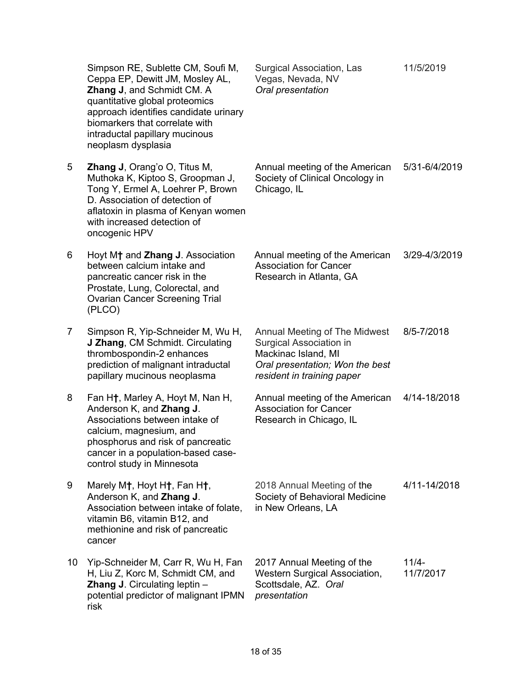|    | Simpson RE, Sublette CM, Soufi M,<br>Ceppa EP, Dewitt JM, Mosley AL,<br>Zhang J, and Schmidt CM. A<br>quantitative global proteomics<br>approach identifies candidate urinary<br>biomarkers that correlate with<br>intraductal papillary mucinous<br>neoplasm dysplasia | Surgical Association, Las<br>Vegas, Nevada, NV<br>Oral presentation                                                                              | 11/5/2019            |
|----|-------------------------------------------------------------------------------------------------------------------------------------------------------------------------------------------------------------------------------------------------------------------------|--------------------------------------------------------------------------------------------------------------------------------------------------|----------------------|
| 5  | <b>Zhang J</b> , Orang'o O, Titus M,<br>Muthoka K, Kiptoo S, Groopman J,<br>Tong Y, Ermel A, Loehrer P, Brown<br>D. Association of detection of<br>aflatoxin in plasma of Kenyan women<br>with increased detection of<br>oncogenic HPV                                  | Annual meeting of the American<br>Society of Clinical Oncology in<br>Chicago, IL                                                                 | 5/31-6/4/2019        |
| 6  | Hoyt M <sup>+</sup> and Zhang J. Association<br>between calcium intake and<br>pancreatic cancer risk in the<br>Prostate, Lung, Colorectal, and<br><b>Ovarian Cancer Screening Trial</b><br>(PLCO)                                                                       | Annual meeting of the American<br><b>Association for Cancer</b><br>Research in Atlanta, GA                                                       | 3/29-4/3/2019        |
| 7  | Simpson R, Yip-Schneider M, Wu H,<br>J Zhang, CM Schmidt. Circulating<br>thrombospondin-2 enhances<br>prediction of malignant intraductal<br>papillary mucinous neoplasma                                                                                               | Annual Meeting of The Midwest<br>Surgical Association in<br>Mackinac Island, MI<br>Oral presentation; Won the best<br>resident in training paper | 8/5-7/2018           |
| 8  | Fan H <sup>†</sup> , Marley A, Hoyt M, Nan H,<br>Anderson K, and Zhang J.<br>Associations between intake of<br>calcium, magnesium, and<br>phosphorus and risk of pancreatic<br>cancer in a population-based case-<br>control study in Minnesota                         | Annual meeting of the American<br><b>Association for Cancer</b><br>Research in Chicago, IL                                                       | 4/14-18/2018         |
| 9  | Marely M†, Hoyt H†, Fan H†,<br>Anderson K, and Zhang J.<br>Association between intake of folate,<br>vitamin B6, vitamin B12, and<br>methionine and risk of pancreatic<br>cancer                                                                                         | 2018 Annual Meeting of the<br>Society of Behavioral Medicine<br>in New Orleans, LA                                                               | 4/11-14/2018         |
| 10 | Yip-Schneider M, Carr R, Wu H, Fan<br>H, Liu Z, Korc M, Schmidt CM, and<br>Zhang J. Circulating leptin -<br>potential predictor of malignant IPMN<br>risk                                                                                                               | 2017 Annual Meeting of the<br><b>Western Surgical Association,</b><br>Scottsdale, AZ. Oral<br>presentation                                       | $11/4-$<br>11/7/2017 |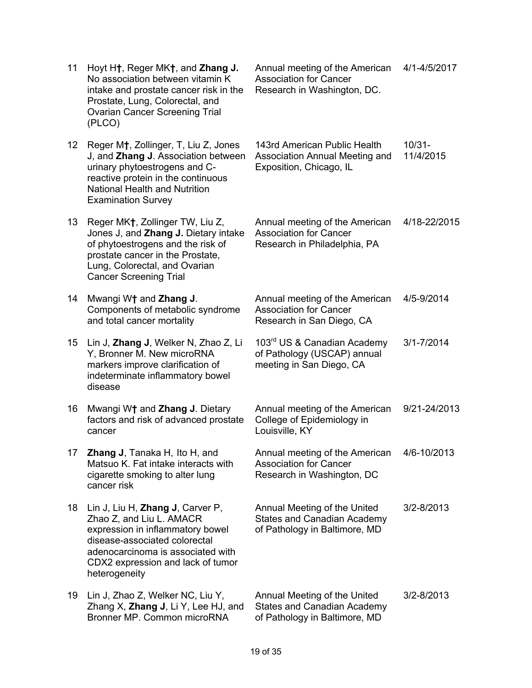| 11              | Hoyt H <sub>†</sub> , Reger MK <sub>†</sub> , and Zhang J.<br>No association between vitamin K<br>intake and prostate cancer risk in the<br>Prostate, Lung, Colorectal, and<br><b>Ovarian Cancer Screening Trial</b><br>(PLCO)       | Annual meeting of the American<br><b>Association for Cancer</b><br>Research in Washington, DC.      | 4/1-4/5/2017           |
|-----------------|--------------------------------------------------------------------------------------------------------------------------------------------------------------------------------------------------------------------------------------|-----------------------------------------------------------------------------------------------------|------------------------|
| 12 <sup>°</sup> | Reger M <sup>†</sup> , Zollinger, T, Liu Z, Jones<br>J, and Zhang J. Association between<br>urinary phytoestrogens and C-<br>reactive protein in the continuous<br><b>National Health and Nutrition</b><br><b>Examination Survey</b> | 143rd American Public Health<br>Association Annual Meeting and<br>Exposition, Chicago, IL           | $10/31 -$<br>11/4/2015 |
| 13              | Reger MK†, Zollinger TW, Liu Z,<br>Jones J, and Zhang J. Dietary intake<br>of phytoestrogens and the risk of<br>prostate cancer in the Prostate,<br>Lung, Colorectal, and Ovarian<br><b>Cancer Screening Trial</b>                   | Annual meeting of the American<br><b>Association for Cancer</b><br>Research in Philadelphia, PA     | 4/18-22/2015           |
| 14              | Mwangi W <sup>+</sup> and Zhang J.<br>Components of metabolic syndrome<br>and total cancer mortality                                                                                                                                 | Annual meeting of the American<br><b>Association for Cancer</b><br>Research in San Diego, CA        | 4/5-9/2014             |
| 15              | Lin J, Zhang J, Welker N, Zhao Z, Li<br>Y, Bronner M. New microRNA<br>markers improve clarification of<br>indeterminate inflammatory bowel<br>disease                                                                                | 103rd US & Canadian Academy<br>of Pathology (USCAP) annual<br>meeting in San Diego, CA              | $3/1 - 7/2014$         |
| 16              | Mwangi W <sup>+</sup> and Zhang J. Dietary<br>factors and risk of advanced prostate<br>cancer                                                                                                                                        | Annual meeting of the American<br>College of Epidemiology in<br>Louisville, KY                      | 9/21-24/2013           |
| 17              | Zhang J, Tanaka H, Ito H, and<br>Matsuo K. Fat intake interacts with<br>cigarette smoking to alter lung<br>cancer risk                                                                                                               | Annual meeting of the American<br><b>Association for Cancer</b><br>Research in Washington, DC       | 4/6-10/2013            |
| 18              | Lin J, Liu H, Zhang J, Carver P,<br>Zhao Z, and Liu L. AMACR<br>expression in inflammatory bowel<br>disease-associated colorectal<br>adenocarcinoma is associated with<br>CDX2 expression and lack of tumor<br>heterogeneity         | Annual Meeting of the United<br><b>States and Canadian Academy</b><br>of Pathology in Baltimore, MD | 3/2-8/2013             |
| 19              | Lin J, Zhao Z, Welker NC, Liu Y,<br>Zhang X, Zhang J, Li Y, Lee HJ, and<br>Bronner MP. Common microRNA                                                                                                                               | Annual Meeting of the United<br><b>States and Canadian Academy</b><br>of Pathology in Baltimore, MD | 3/2-8/2013             |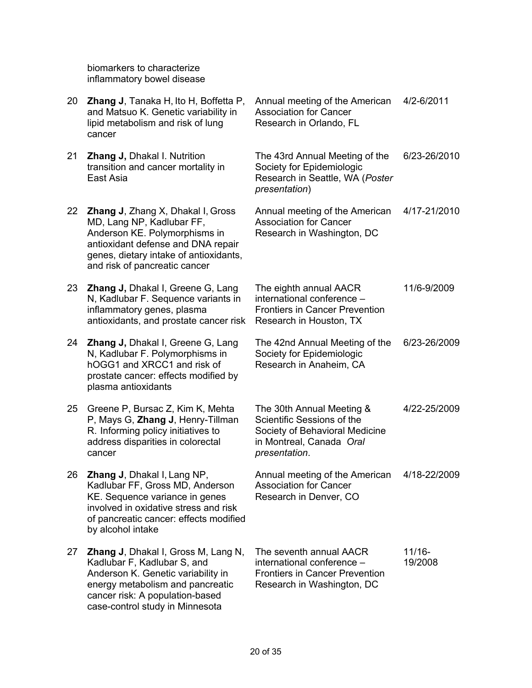biomarkers to characterize inflammatory bowel disease

| 20 | <b>Zhang J, Tanaka H, Ito H, Boffetta P,</b><br>and Matsuo K. Genetic variability in<br>lipid metabolism and risk of lung<br>cancer                                                                                     | Annual meeting of the American<br><b>Association for Cancer</b><br>Research in Orlando, FL                                             | 4/2-6/2011           |
|----|-------------------------------------------------------------------------------------------------------------------------------------------------------------------------------------------------------------------------|----------------------------------------------------------------------------------------------------------------------------------------|----------------------|
| 21 | Zhang J, Dhakal I. Nutrition<br>transition and cancer mortality in<br>East Asia                                                                                                                                         | The 43rd Annual Meeting of the<br>Society for Epidemiologic<br>Research in Seattle, WA (Poster<br>presentation)                        | 6/23-26/2010         |
| 22 | <b>Zhang J, Zhang X, Dhakal I, Gross</b><br>MD, Lang NP, Kadlubar FF,<br>Anderson KE. Polymorphisms in<br>antioxidant defense and DNA repair<br>genes, dietary intake of antioxidants,<br>and risk of pancreatic cancer | Annual meeting of the American<br><b>Association for Cancer</b><br>Research in Washington, DC                                          | 4/17-21/2010         |
| 23 | <b>Zhang J, Dhakal I, Greene G, Lang</b><br>N, Kadlubar F. Sequence variants in<br>inflammatory genes, plasma<br>antioxidants, and prostate cancer risk                                                                 | The eighth annual AACR<br>international conference -<br><b>Frontiers in Cancer Prevention</b><br>Research in Houston, TX               | 11/6-9/2009          |
| 24 | Zhang J, Dhakal I, Greene G, Lang<br>N, Kadlubar F. Polymorphisms in<br>hOGG1 and XRCC1 and risk of<br>prostate cancer: effects modified by<br>plasma antioxidants                                                      | The 42nd Annual Meeting of the<br>Society for Epidemiologic<br>Research in Anaheim, CA                                                 | 6/23-26/2009         |
| 25 | Greene P, Bursac Z, Kim K, Mehta<br>P, Mays G, Zhang J, Henry-Tillman<br>R. Informing policy initiatives to<br>address disparities in colorectal<br>cancer                                                              | The 30th Annual Meeting &<br>Scientific Sessions of the<br>Society of Behavioral Medicine<br>in Montreal, Canada Oral<br>presentation. | 4/22-25/2009         |
| 26 | Zhang J, Dhakal I, Lang NP,<br>Kadlubar FF, Gross MD, Anderson<br>KE. Sequence variance in genes<br>involved in oxidative stress and risk<br>of pancreatic cancer: effects modified<br>by alcohol intake                | Annual meeting of the American<br>Association for Cancer<br>Research in Denver, CO                                                     | 4/18-22/2009         |
| 27 | Zhang J, Dhakal I, Gross M, Lang N,<br>Kadlubar F, Kadlubar S, and<br>Anderson K. Genetic variability in<br>energy metabolism and pancreatic<br>cancer risk: A population-based<br>case-control study in Minnesota      | The seventh annual AACR<br>international conference -<br><b>Frontiers in Cancer Prevention</b><br>Research in Washington, DC           | $11/16 -$<br>19/2008 |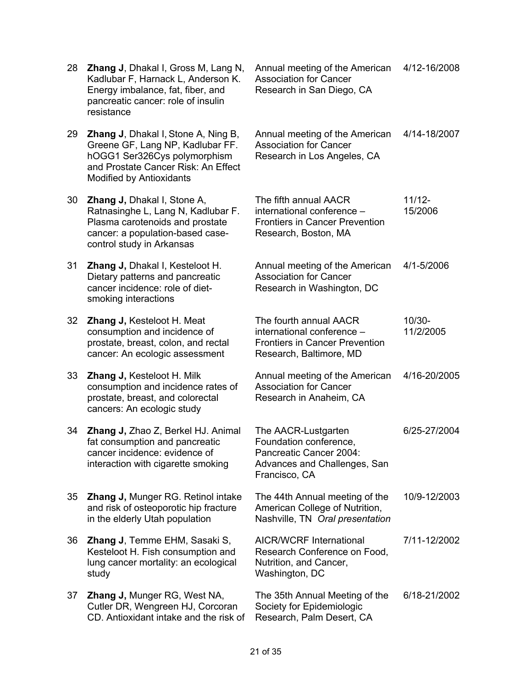| 28 | <b>Zhang J, Dhakal I, Gross M, Lang N,</b><br>Kadlubar F, Harnack L, Anderson K.<br>Energy imbalance, fat, fiber, and<br>pancreatic cancer: role of insulin<br>resistance         | Annual meeting of the American<br><b>Association for Cancer</b><br>Research in San Diego, CA                              | 4/12-16/2008           |
|----|-----------------------------------------------------------------------------------------------------------------------------------------------------------------------------------|---------------------------------------------------------------------------------------------------------------------------|------------------------|
| 29 | <b>Zhang J, Dhakal I, Stone A, Ning B,</b><br>Greene GF, Lang NP, Kadlubar FF.<br>hOGG1 Ser326Cys polymorphism<br>and Prostate Cancer Risk: An Effect<br>Modified by Antioxidants | Annual meeting of the American<br><b>Association for Cancer</b><br>Research in Los Angeles, CA                            | 4/14-18/2007           |
| 30 | <b>Zhang J, Dhakal I, Stone A,</b><br>Ratnasinghe L, Lang N, Kadlubar F.<br>Plasma carotenoids and prostate<br>cancer: a population-based case-<br>control study in Arkansas      | The fifth annual AACR<br>international conference -<br><b>Frontiers in Cancer Prevention</b><br>Research, Boston, MA      | $11/12 -$<br>15/2006   |
| 31 | Zhang J, Dhakal I, Kesteloot H.<br>Dietary patterns and pancreatic<br>cancer incidence: role of diet-<br>smoking interactions                                                     | Annual meeting of the American<br><b>Association for Cancer</b><br>Research in Washington, DC                             | 4/1-5/2006             |
| 32 | Zhang J, Kesteloot H. Meat<br>consumption and incidence of<br>prostate, breast, colon, and rectal<br>cancer: An ecologic assessment                                               | The fourth annual AACR<br>international conference -<br><b>Frontiers in Cancer Prevention</b><br>Research, Baltimore, MD  | $10/30 -$<br>11/2/2005 |
| 33 | <b>Zhang J, Kesteloot H. Milk</b><br>consumption and incidence rates of<br>prostate, breast, and colorectal<br>cancers: An ecologic study                                         | Annual meeting of the American<br><b>Association for Cancer</b><br>Research in Anaheim, CA                                | 4/16-20/2005           |
| 34 | Zhang J, Zhao Z, Berkel HJ. Animal<br>fat consumption and pancreatic<br>cancer incidence: evidence of<br>interaction with cigarette smoking                                       | The AACR-Lustgarten<br>Foundation conference,<br>Pancreatic Cancer 2004:<br>Advances and Challenges, San<br>Francisco, CA | 6/25-27/2004           |
| 35 | <b>Zhang J, Munger RG. Retinol intake</b><br>and risk of osteoporotic hip fracture<br>in the elderly Utah population                                                              | The 44th Annual meeting of the<br>American College of Nutrition,<br>Nashville, TN Oral presentation                       | 10/9-12/2003           |
| 36 | <b>Zhang J, Temme EHM, Sasaki S,</b><br>Kesteloot H. Fish consumption and<br>lung cancer mortality: an ecological<br>study                                                        | <b>AICR/WCRF International</b><br>Research Conference on Food,<br>Nutrition, and Cancer,<br>Washington, DC                | 7/11-12/2002           |
| 37 | <b>Zhang J, Munger RG, West NA,</b><br>Cutler DR, Wengreen HJ, Corcoran<br>CD. Antioxidant intake and the risk of                                                                 | The 35th Annual Meeting of the<br>Society for Epidemiologic<br>Research, Palm Desert, CA                                  | 6/18-21/2002           |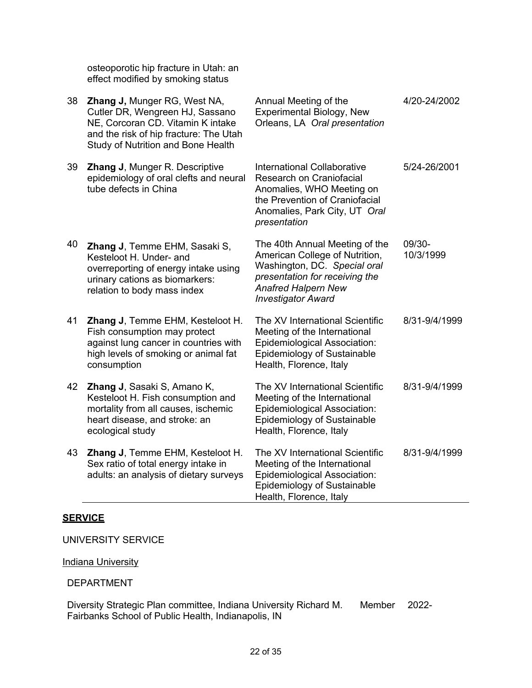osteoporotic hip fracture in Utah: an effect modified by smoking status

| 38 | Zhang J, Munger RG, West NA,<br>Cutler DR, Wengreen HJ, Sassano<br>NE, Corcoran CD. Vitamin K intake<br>and the risk of hip fracture: The Utah<br>Study of Nutrition and Bone Health | Annual Meeting of the<br>Experimental Biology, New<br>Orleans, LA Oral presentation                                                                                                           | 4/20-24/2002        |
|----|--------------------------------------------------------------------------------------------------------------------------------------------------------------------------------------|-----------------------------------------------------------------------------------------------------------------------------------------------------------------------------------------------|---------------------|
| 39 | Zhang J, Munger R. Descriptive<br>epidemiology of oral clefts and neural<br>tube defects in China                                                                                    | <b>International Collaborative</b><br>Research on Craniofacial<br>Anomalies, WHO Meeting on<br>the Prevention of Craniofacial<br>Anomalies, Park City, UT Oral<br>presentation                | 5/24-26/2001        |
| 40 | Zhang J, Temme EHM, Sasaki S,<br>Kesteloot H. Under- and<br>overreporting of energy intake using<br>urinary cations as biomarkers:<br>relation to body mass index                    | The 40th Annual Meeting of the<br>American College of Nutrition,<br>Washington, DC. Special oral<br>presentation for receiving the<br><b>Anafred Halpern New</b><br><b>Investigator Award</b> | 09/30-<br>10/3/1999 |
| 41 | Zhang J, Temme EHM, Kesteloot H.<br>Fish consumption may protect<br>against lung cancer in countries with<br>high levels of smoking or animal fat<br>consumption                     | The XV International Scientific<br>Meeting of the International<br><b>Epidemiological Association:</b><br>Epidemiology of Sustainable<br>Health, Florence, Italy                              | 8/31-9/4/1999       |
| 42 | Zhang J, Sasaki S, Amano K,<br>Kesteloot H. Fish consumption and<br>mortality from all causes, ischemic<br>heart disease, and stroke: an<br>ecological study                         | The XV International Scientific<br>Meeting of the International<br><b>Epidemiological Association:</b><br>Epidemiology of Sustainable<br>Health, Florence, Italy                              | 8/31-9/4/1999       |
| 43 | Zhang J, Temme EHM, Kesteloot H.<br>Sex ratio of total energy intake in<br>adults: an analysis of dietary surveys                                                                    | The XV International Scientific<br>Meeting of the International<br><b>Epidemiological Association:</b><br>Epidemiology of Sustainable<br>Health, Florence, Italy                              | 8/31-9/4/1999       |

# **SERVICE**

UNIVERSITY SERVICE

#### **Indiana University**

## DEPARTMENT

Diversity Strategic Plan committee, Indiana University Richard M. Fairbanks School of Public Health, Indianapolis, IN Member 2022-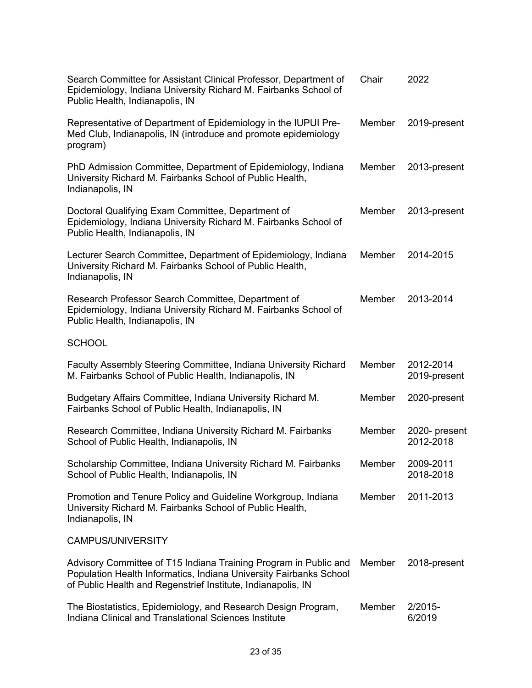| Search Committee for Assistant Clinical Professor, Department of<br>Epidemiology, Indiana University Richard M. Fairbanks School of<br>Public Health, Indianapolis, IN                                 | Chair  | 2022                       |
|--------------------------------------------------------------------------------------------------------------------------------------------------------------------------------------------------------|--------|----------------------------|
| Representative of Department of Epidemiology in the IUPUI Pre-<br>Med Club, Indianapolis, IN (introduce and promote epidemiology<br>program)                                                           | Member | 2019-present               |
| PhD Admission Committee, Department of Epidemiology, Indiana<br>University Richard M. Fairbanks School of Public Health,<br>Indianapolis, IN                                                           | Member | 2013-present               |
| Doctoral Qualifying Exam Committee, Department of<br>Epidemiology, Indiana University Richard M. Fairbanks School of<br>Public Health, Indianapolis, IN                                                | Member | 2013-present               |
| Lecturer Search Committee, Department of Epidemiology, Indiana<br>University Richard M. Fairbanks School of Public Health,<br>Indianapolis, IN                                                         | Member | 2014-2015                  |
| Research Professor Search Committee, Department of<br>Epidemiology, Indiana University Richard M. Fairbanks School of<br>Public Health, Indianapolis, IN                                               | Member | 2013-2014                  |
| <b>SCHOOL</b>                                                                                                                                                                                          |        |                            |
| Faculty Assembly Steering Committee, Indiana University Richard<br>M. Fairbanks School of Public Health, Indianapolis, IN                                                                              | Member | 2012-2014<br>2019-present  |
| Budgetary Affairs Committee, Indiana University Richard M.<br>Fairbanks School of Public Health, Indianapolis, IN                                                                                      | Member | 2020-present               |
| Research Committee, Indiana University Richard M. Fairbanks<br>School of Public Health, Indianapolis, IN                                                                                               | Member | 2020- present<br>2012-2018 |
| Scholarship Committee, Indiana University Richard M. Fairbanks<br>School of Public Health, Indianapolis, IN                                                                                            | Member | 2009-2011<br>2018-2018     |
| Promotion and Tenure Policy and Guideline Workgroup, Indiana<br>University Richard M. Fairbanks School of Public Health,<br>Indianapolis, IN                                                           | Member | 2011-2013                  |
| <b>CAMPUS/UNIVERSITY</b>                                                                                                                                                                               |        |                            |
| Advisory Committee of T15 Indiana Training Program in Public and<br>Population Health Informatics, Indiana University Fairbanks School<br>of Public Health and Regenstrief Institute, Indianapolis, IN | Member | 2018-present               |
| The Biostatistics, Epidemiology, and Research Design Program,<br>Indiana Clinical and Translational Sciences Institute                                                                                 | Member | 2/2015-<br>6/2019          |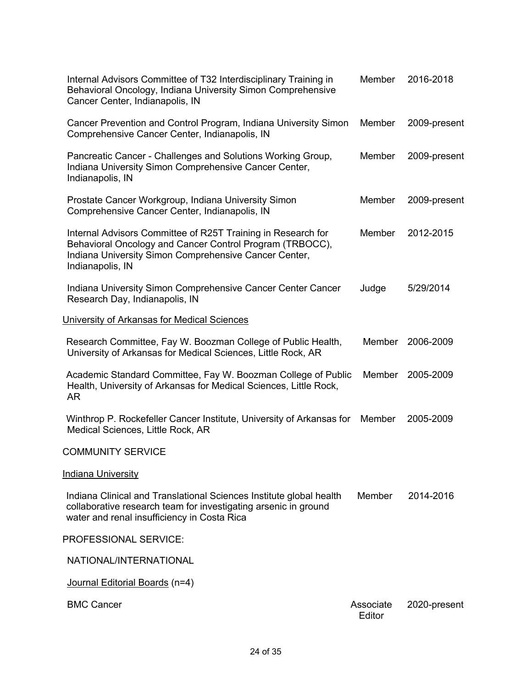| Internal Advisors Committee of T32 Interdisciplinary Training in<br>Behavioral Oncology, Indiana University Simon Comprehensive<br>Cancer Center, Indianapolis, IN                                    | Member              | 2016-2018    |
|-------------------------------------------------------------------------------------------------------------------------------------------------------------------------------------------------------|---------------------|--------------|
| Cancer Prevention and Control Program, Indiana University Simon<br>Comprehensive Cancer Center, Indianapolis, IN                                                                                      | Member              | 2009-present |
| Pancreatic Cancer - Challenges and Solutions Working Group,<br>Indiana University Simon Comprehensive Cancer Center,<br>Indianapolis, IN                                                              | Member              | 2009-present |
| Prostate Cancer Workgroup, Indiana University Simon<br>Comprehensive Cancer Center, Indianapolis, IN                                                                                                  | Member              | 2009-present |
| Internal Advisors Committee of R25T Training in Research for<br>Behavioral Oncology and Cancer Control Program (TRBOCC),<br>Indiana University Simon Comprehensive Cancer Center,<br>Indianapolis, IN | Member              | 2012-2015    |
| Indiana University Simon Comprehensive Cancer Center Cancer<br>Research Day, Indianapolis, IN                                                                                                         | Judge               | 5/29/2014    |
| University of Arkansas for Medical Sciences                                                                                                                                                           |                     |              |
| Research Committee, Fay W. Boozman College of Public Health,<br>University of Arkansas for Medical Sciences, Little Rock, AR                                                                          | Member              | 2006-2009    |
| Academic Standard Committee, Fay W. Boozman College of Public<br>Health, University of Arkansas for Medical Sciences, Little Rock,<br><b>AR</b>                                                       | Member              | 2005-2009    |
| Winthrop P. Rockefeller Cancer Institute, University of Arkansas for<br>Medical Sciences, Little Rock, AR                                                                                             | Member              | 2005-2009    |
| <b>COMMUNITY SERVICE</b>                                                                                                                                                                              |                     |              |
| <b>Indiana University</b>                                                                                                                                                                             |                     |              |
| Indiana Clinical and Translational Sciences Institute global health<br>collaborative research team for investigating arsenic in ground<br>water and renal insufficiency in Costa Rica                 | Member              | 2014-2016    |
| PROFESSIONAL SERVICE:                                                                                                                                                                                 |                     |              |
| NATIONAL/INTERNATIONAL                                                                                                                                                                                |                     |              |
| Journal Editorial Boards (n=4)                                                                                                                                                                        |                     |              |
| <b>BMC Cancer</b>                                                                                                                                                                                     | Associate<br>Editor | 2020-present |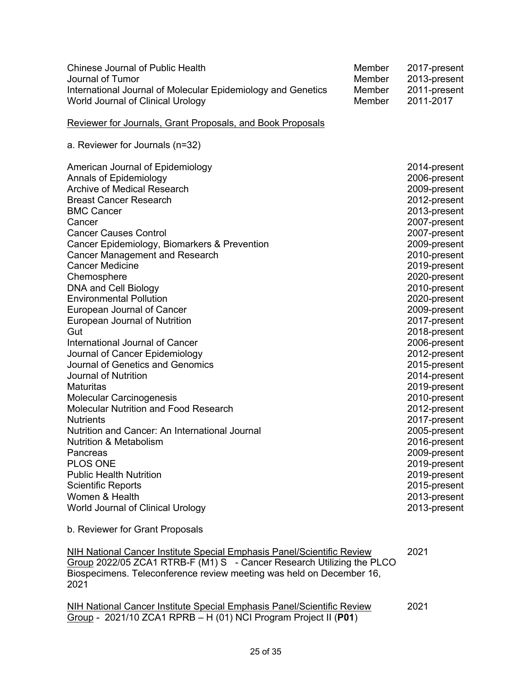| <b>Chinese Journal of Public Health</b><br>Journal of Tumor<br>International Journal of Molecular Epidemiology and Genetics<br>World Journal of Clinical Urology                                                                                                                                                                                                                                                                                                                                                                                                                                                                                                                                                                                                                                                                                                                                                                                                           | Member<br>Member<br>Member<br>Member | 2017-present<br>2013-present<br>2011-present<br>2011-2017                                                                                                                                                                                                                                                                                                                                                                                                                                                                    |
|----------------------------------------------------------------------------------------------------------------------------------------------------------------------------------------------------------------------------------------------------------------------------------------------------------------------------------------------------------------------------------------------------------------------------------------------------------------------------------------------------------------------------------------------------------------------------------------------------------------------------------------------------------------------------------------------------------------------------------------------------------------------------------------------------------------------------------------------------------------------------------------------------------------------------------------------------------------------------|--------------------------------------|------------------------------------------------------------------------------------------------------------------------------------------------------------------------------------------------------------------------------------------------------------------------------------------------------------------------------------------------------------------------------------------------------------------------------------------------------------------------------------------------------------------------------|
| Reviewer for Journals, Grant Proposals, and Book Proposals                                                                                                                                                                                                                                                                                                                                                                                                                                                                                                                                                                                                                                                                                                                                                                                                                                                                                                                 |                                      |                                                                                                                                                                                                                                                                                                                                                                                                                                                                                                                              |
| a. Reviewer for Journals (n=32)                                                                                                                                                                                                                                                                                                                                                                                                                                                                                                                                                                                                                                                                                                                                                                                                                                                                                                                                            |                                      |                                                                                                                                                                                                                                                                                                                                                                                                                                                                                                                              |
| American Journal of Epidemiology<br>Annals of Epidemiology<br><b>Archive of Medical Research</b><br><b>Breast Cancer Research</b><br><b>BMC Cancer</b><br>Cancer<br><b>Cancer Causes Control</b><br>Cancer Epidemiology, Biomarkers & Prevention<br><b>Cancer Management and Research</b><br><b>Cancer Medicine</b><br>Chemosphere<br>DNA and Cell Biology<br><b>Environmental Pollution</b><br>European Journal of Cancer<br>European Journal of Nutrition<br>Gut<br>International Journal of Cancer<br>Journal of Cancer Epidemiology<br>Journal of Genetics and Genomics<br><b>Journal of Nutrition</b><br><b>Maturitas</b><br><b>Molecular Carcinogenesis</b><br>Molecular Nutrition and Food Research<br><b>Nutrients</b><br>Nutrition and Cancer: An International Journal<br><b>Nutrition &amp; Metabolism</b><br>Pancreas<br><b>PLOS ONE</b><br><b>Public Health Nutrition</b><br><b>Scientific Reports</b><br>Women & Health<br>World Journal of Clinical Urology |                                      | 2014-present<br>2006-present<br>2009-present<br>2012-present<br>2013-present<br>2007-present<br>2007-present<br>2009-present<br>2010-present<br>2019-present<br>2020-present<br>2010-present<br>2020-present<br>2009-present<br>2017-present<br>2018-present<br>2006-present<br>2012-present<br>2015-present<br>2014-present<br>2019-present<br>2010-present<br>2012-present<br>2017-present<br>2005-present<br>2016-present<br>2009-present<br>2019-present<br>2019-present<br>2015-present<br>2013-present<br>2013-present |
| b. Reviewer for Grant Proposals                                                                                                                                                                                                                                                                                                                                                                                                                                                                                                                                                                                                                                                                                                                                                                                                                                                                                                                                            |                                      |                                                                                                                                                                                                                                                                                                                                                                                                                                                                                                                              |

NIH National Cancer Institute Special Emphasis Panel/Scientific Review Group 2022/05 ZCA1 RTRB-F (M1) S - Cancer Research Utilizing the PLCO Biospecimens. Teleconference review meeting was held on December 16, 2021 2021

NIH National Cancer Institute Special Emphasis Panel/Scientific Review Group - 2021/10 ZCA1 RPRB – H (01) NCI Program Project II (**P01**) 2021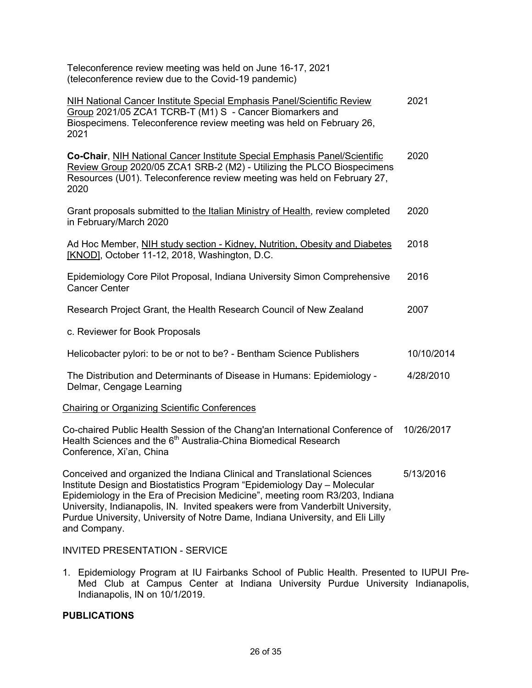| (teleconference review due to the Covid-19 pandemic)                                                                                                                                                                                   |            |
|----------------------------------------------------------------------------------------------------------------------------------------------------------------------------------------------------------------------------------------|------------|
| NIH National Cancer Institute Special Emphasis Panel/Scientific Review<br>Group 2021/05 ZCA1 TCRB-T (M1) S - Cancer Biomarkers and<br>Biospecimens. Teleconference review meeting was held on February 26,<br>2021                     | 2021       |
| Co-Chair, NIH National Cancer Institute Special Emphasis Panel/Scientific<br>Review Group 2020/05 ZCA1 SRB-2 (M2) - Utilizing the PLCO Biospecimens<br>Resources (U01). Teleconference review meeting was held on February 27,<br>2020 | 2020       |
| Grant proposals submitted to the Italian Ministry of Health, review completed<br>in February/March 2020                                                                                                                                | 2020       |
| Ad Hoc Member, NIH study section - Kidney, Nutrition, Obesity and Diabetes<br>[KNOD], October 11-12, 2018, Washington, D.C.                                                                                                            | 2018       |
| Epidemiology Core Pilot Proposal, Indiana University Simon Comprehensive<br><b>Cancer Center</b>                                                                                                                                       | 2016       |
| Research Project Grant, the Health Research Council of New Zealand                                                                                                                                                                     | 2007       |
| c. Reviewer for Book Proposals                                                                                                                                                                                                         |            |
| Helicobacter pylori: to be or not to be? - Bentham Science Publishers                                                                                                                                                                  | 10/10/2014 |
| The Distribution and Determinants of Disease in Humans: Epidemiology -<br>Delmar, Cengage Learning                                                                                                                                     | 4/28/2010  |
| Chairing or Organizing Scientific Conferences                                                                                                                                                                                          |            |
| Co-chaired Public Health Session of the Chang'an International Conference of<br>Health Sciences and the 6 <sup>th</sup> Australia-China Biomedical Research<br>Conference, Xi'an, China                                                | 10/26/2017 |
| Conceived and organized the Indiana Clinical and Translational Sciences<br>Institute Design and Ricstatistics Program "Enidemiology Day Molecular                                                                                      | 5/13/2016  |

Teleconference review meeting was held on June 16-17, 2021

Institute Design and Biostatistics Program "Epidemiology Day – Molecular Epidemiology in the Era of Precision Medicine", meeting room R3/203, Indiana University, Indianapolis, IN. Invited speakers were from Vanderbilt University, Purdue University, University of Notre Dame, Indiana University, and Eli Lilly and Company.

INVITED PRESENTATION - SERVICE

1. Epidemiology Program at IU Fairbanks School of Public Health. Presented to IUPUI Pre-Med Club at Campus Center at Indiana University Purdue University Indianapolis, Indianapolis, IN on 10/1/2019.

#### **PUBLICATIONS**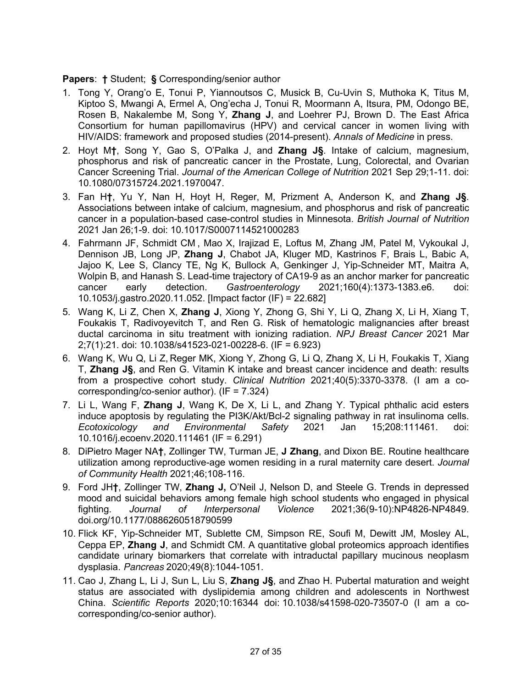#### **Papers**: **†** Student; **§** Corresponding/senior author

- 1. Tong Y, Orang'o E, Tonui P, Yiannoutsos C, Musick B, Cu-Uvin S, Muthoka K, Titus M, Kiptoo S, Mwangi A, Ermel A, Ong'echa J, Tonui R, Moormann A, Itsura, PM, Odongo BE, Rosen B, Nakalembe M, Song Y, **Zhang J**, and Loehrer PJ, Brown D. The East Africa Consortium for human papillomavirus (HPV) and cervical cancer in women living with HIV/AIDS: framework and proposed studies (2014-present). *Annals of Medicine* in press.
- 2. Hoyt M**†**, Song Y, Gao S, O'Palka J, and **Zhang J§**. Intake of calcium, magnesium, phosphorus and risk of pancreatic cancer in the Prostate, Lung, Colorectal, and Ovarian Cancer Screening Trial. *Journal of the American College of Nutrition* 2021 Sep 29;1-11. doi: 10.1080/07315724.2021.1970047.
- 3. Fan H**†**, Yu Y, Nan H, Hoyt H, Reger, M, Prizment A, Anderson K, and **Zhang J§**. Associations between intake of calcium, magnesium, and phosphorus and risk of pancreatic cancer in a population-based case-control studies in Minnesota. *British Journal of Nutrition*  2021 Jan 26;1-9. doi: 10.1017/S0007114521000283
- 4. Fahrmann JF, Schmidt CM , Mao X, Irajizad E, Loftus M, Zhang JM, Patel M, Vykoukal J, Dennison JB, Long JP, **Zhang J**, Chabot JA, Kluger MD, Kastrinos F, Brais L, Babic A, Jajoo K, Lee S, Clancy TE, Ng K, Bullock A, Genkinger J, Yip-Schneider MT, Maitra A, Wolpin B, and Hanash S. Lead-time trajectory of CA19-9 as an anchor marker for pancreatic cancer early detection. *Gastroenterology* 2021;160(4):1373-1383.e6. doi: 10.1053/j.gastro.2020.11.052. [Impact factor (IF) = 22.682]
- 5. Wang K, Li Z, Chen X, **Zhang J**, Xiong Y, Zhong G, Shi Y, Li Q, Zhang X, Li H, Xiang T, Foukakis T, Radivoyevitch T, and Ren G. Risk of hematologic malignancies after breast ductal carcinoma in situ treatment with ionizing radiation. *NPJ Breast Cancer* 2021 Mar 2;7(1):21. doi: 10.1038/s41523-021-00228-6. (IF = 6.923)
- 6. Wang K, Wu Q, Li Z, Reger MK, Xiong Y, Zhong G, Li Q, Zhang X, Li H, Foukakis T, Xiang T, **Zhang J§**, and Ren G. Vitamin K intake and breast cancer incidence and death: results from a prospective cohort study. *Clinical Nutrition* 2021;40(5):3370-3378. (I am a cocorresponding/co-senior author). (IF = 7.324)
- 7. Li L, Wang F, **Zhang J**, Wang K, De X, Li L, and Zhang Y. Typical phthalic acid esters induce apoptosis by regulating the PI3K/Akt/Bcl-2 signaling pathway in rat insulinoma cells. *Ecotoxicology and Environmental Safety* 2021 Jan 15;208:111461. doi: 10.1016/j.ecoenv.2020.111461 (IF = 6.291)
- 8. DiPietro Mager NA**†**, Zollinger TW, Turman JE, **J Zhang**, and Dixon BE. Routine healthcare utilization among reproductive-age women residing in a rural maternity care desert. *Journal of Community Health* 2021;46;108-116.
- 9. Ford JH**†**, Zollinger TW, **Zhang J,** O'Neil J, Nelson D, and Steele G. Trends in depressed mood and suicidal behaviors among female high school students who engaged in physical fighting. *Journal of Interpersonal Violence* 2021;36(9-10):NP4826-NP4849. doi.org/10.1177/0886260518790599
- 10. Flick KF, Yip-Schneider MT, Sublette CM, Simpson RE, Soufi M, Dewitt JM, Mosley AL, Ceppa EP, **Zhang J**, and Schmidt CM. A quantitative global proteomics approach identifies candidate urinary biomarkers that correlate with intraductal papillary mucinous neoplasm dysplasia. *Pancreas* 2020;49(8):1044-1051.
- 11. Cao J, Zhang L, Li J, Sun L, Liu S, **Zhang J§**, and Zhao H. Pubertal maturation and weight status are associated with dyslipidemia among children and adolescents in Northwest China. *Scientific Reports* 2020;10:16344 doi: 10.1038/s41598-020-73507-0 (I am a cocorresponding/co-senior author).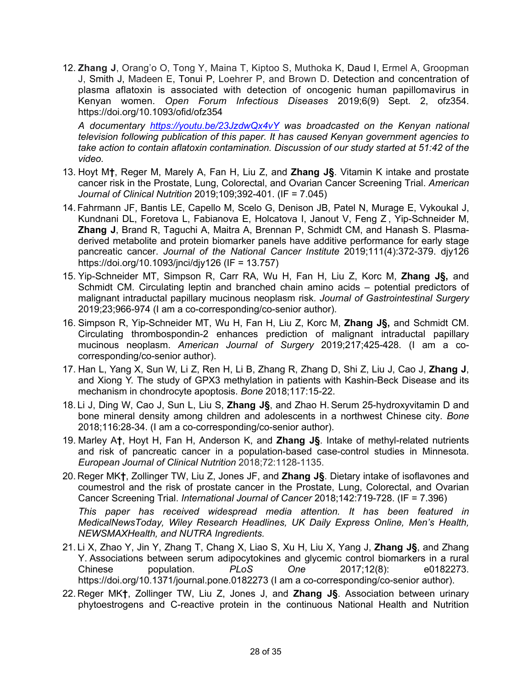12. **Zhang J**, Orang'o O, Tong Y, Maina T, Kiptoo S, Muthoka K, Daud I, Ermel A, Groopman J, Smith J, Madeen E, Tonui P, Loehrer P, and Brown D. Detection and concentration of plasma aflatoxin is associated with detection of oncogenic human papillomavirus in Kenyan women. *Open Forum Infectious Diseases* 2019;6(9) Sept. 2, ofz354. https://doi.org/10.1093/ofid/ofz354

*A documentary https://youtu.be/23JzdwQx4vY was broadcasted on the Kenyan national television following publication of this paper. It has caused Kenyan government agencies to take action to contain aflatoxin contamination. Discussion of our study started at 51:42 of the video.*

- 13. Hoyt M**†**, Reger M, Marely A, Fan H, Liu Z, and **Zhang J§**. Vitamin K intake and prostate cancer risk in the Prostate, Lung, Colorectal, and Ovarian Cancer Screening Trial. *American Journal of Clinical Nutrition* 2019;109;392-401. (IF = 7.045)
- 14. Fahrmann JF, Bantis LE, Capello M, Scelo G, Denison JB, Patel N, Murage E, Vykoukal J, Kundnani DL, Foretova L, Fabianova E, Holcatova I, Janout V, Feng Z , Yip-Schneider M, **Zhang J**, Brand R, Taguchi A, Maitra A, Brennan P, Schmidt CM, and Hanash S. Plasmaderived metabolite and protein biomarker panels have additive performance for early stage pancreatic cancer. *Journal of the National Cancer Institute* 2019;111(4):372-379. djy126 https://doi.org/10.1093/jnci/djy126 (IF = 13.757)
- 15. Yip-Schneider MT, Simpson R, Carr RA, Wu H, Fan H, Liu Z, Korc M, **Zhang J§,** and Schmidt CM. Circulating leptin and branched chain amino acids – potential predictors of malignant intraductal papillary mucinous neoplasm risk. *Journal of Gastrointestinal Surgery*  2019;23;966-974 (I am a co-corresponding/co-senior author).
- 16. Simpson R, Yip-Schneider MT, Wu H, Fan H, Liu Z, Korc M, **Zhang J§,** and Schmidt CM. Circulating thrombospondin-2 enhances prediction of malignant intraductal papillary mucinous neoplasm. *American Journal of Surgery* 2019;217;425-428. (I am a cocorresponding/co-senior author).
- 17. Han L, Yang X, Sun W, Li Z, Ren H, Li B, Zhang R, Zhang D, Shi Z, Liu J, Cao J, **Zhang J**, and Xiong Y. The study of GPX3 methylation in patients with Kashin-Beck Disease and its mechanism in chondrocyte apoptosis. *Bone* 2018;117:15-22.
- 18. Li J, Ding W, Cao J, Sun L, Liu S, **Zhang J§**, and Zhao H. Serum 25-hydroxyvitamin D and bone mineral density among children and adolescents in a northwest Chinese city. *Bone* 2018;116:28-34. (I am a co-corresponding/co-senior author).
- 19. Marley A**†**, Hoyt H, Fan H, Anderson K, and **Zhang J§**. Intake of methyl-related nutrients and risk of pancreatic cancer in a population-based case-control studies in Minnesota. *European Journal of Clinical Nutrition* 2018;72:1128-1135.
- 20. Reger MK**†**, Zollinger TW, Liu Z, Jones JF, and **Zhang J§**. Dietary intake of isoflavones and coumestrol and the risk of prostate cancer in the Prostate, Lung, Colorectal, and Ovarian Cancer Screening Trial. *International Journal of Cancer* 2018;142:719-728. (IF = 7.396) *This paper has received widespread media attention. It has been featured in MedicalNewsToday, Wiley Research Headlines, UK Daily Express Online, Men's Health, NEWSMAXHealth, and NUTRA Ingredients.*
- 21. Li X, Zhao Y, Jin Y, Zhang T, Chang X, Liao S, Xu H, Liu X, Yang J, **Zhang J§**, and Zhang Y. Associations between serum adipocytokines and glycemic control biomarkers in a rural Chinese population. *PLoS One* 2017;12(8): e0182273. https://doi.org/10.1371/journal.pone.0182273 (I am a co-corresponding/co-senior author).
- 22. Reger MK**†**, Zollinger TW, Liu Z, Jones J, and **Zhang J§**. Association between urinary phytoestrogens and C-reactive protein in the continuous National Health and Nutrition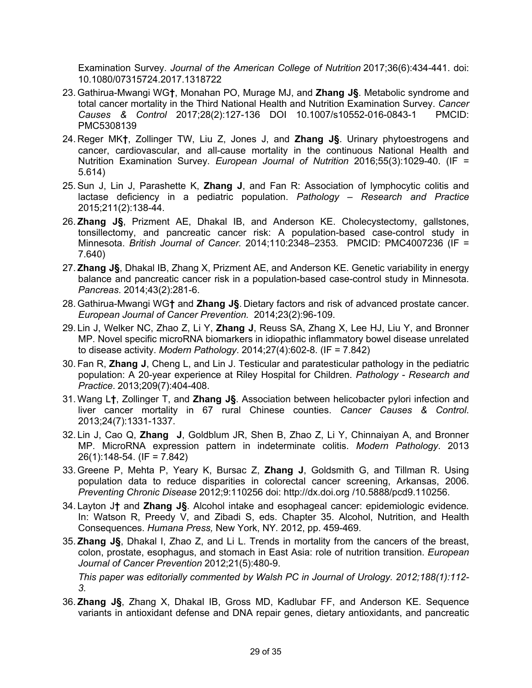Examination Survey. *Journal of the American College of Nutrition* 2017;36(6):434-441. doi: 10.1080/07315724.2017.1318722

- 23. Gathirua-Mwangi WG**†**, Monahan PO, Murage MJ, and **Zhang J§**. Metabolic syndrome and total cancer mortality in the Third National Health and Nutrition Examination Survey. *Cancer Causes & Control* 2017;28(2):127-136 DOI 10.1007/s10552-016-0843-1 PMCID: PMC5308139
- 24. Reger MK**†**, Zollinger TW, Liu Z, Jones J, and **Zhang J§**. Urinary phytoestrogens and cancer, cardiovascular, and all-cause mortality in the continuous National Health and Nutrition Examination Survey. *European Journal of Nutrition* 2016;55(3):1029-40. (IF = 5.614)
- 25.Sun J, Lin J, Parashette K, **Zhang J**, and Fan R: Association of lymphocytic colitis and lactase deficiency in a pediatric population. *Pathology – Research and Practice*  2015;211(2):138-44.
- 26. **Zhang J§**, Prizment AE, Dhakal IB, and Anderson KE. Cholecystectomy, gallstones, tonsillectomy, and pancreatic cancer risk: A population-based case-control study in Minnesota. *British Journal of Cancer.* 2014;110:2348–2353*.* PMCID: PMC4007236 (IF = 7.640)
- 27. **Zhang J§**, Dhakal IB, Zhang X, Prizment AE, and Anderson KE. Genetic variability in energy balance and pancreatic cancer risk in a population-based case-control study in Minnesota. *Pancreas*. 2014;43(2):281-6.
- 28. Gathirua-Mwangi WG**†** and **Zhang J§**. Dietary factors and risk of advanced prostate cancer. *European Journal of Cancer Prevention.* 2014;23(2):96-109.
- 29. Lin J, Welker NC, Zhao Z, Li Y, **Zhang J**, Reuss SA, Zhang X, Lee HJ, Liu Y, and Bronner MP. Novel specific microRNA biomarkers in idiopathic inflammatory bowel disease unrelated to disease activity. *Modern Pathology*. 2014;27(4):602-8. (IF = 7.842)
- 30. Fan R, **Zhang J**, Cheng L, and Lin J. Testicular and paratesticular pathology in the pediatric population: A 20-year experience at Riley Hospital for Children. *Pathology - Research and Practice*. 2013;209(7):404-408.
- 31. Wang L**†**, Zollinger T, and **Zhang J§**. Association between helicobacter pylori infection and liver cancer mortality in 67 rural Chinese counties. *Cancer Causes & Control*. 2013;24(7):1331-1337.
- 32. Lin J, Cao Q, **Zhang J**, Goldblum JR, Shen B, Zhao Z, Li Y, Chinnaiyan A, and Bronner MP. MicroRNA expression pattern in indeterminate colitis. *Modern Pathology*. 2013 26(1):148-54. (IF = 7.842)
- 33. Greene P, Mehta P, Yeary K, Bursac Z, **Zhang J**, Goldsmith G, and Tillman R. Using population data to reduce disparities in colorectal cancer screening, Arkansas, 2006. *Preventing Chronic Disease* 2012;9:110256 doi: http://dx.doi.org /10.5888/pcd9.110256.
- 34. Layton J**†** and **Zhang J§**. Alcohol intake and esophageal cancer: epidemiologic evidence*.* In: Watson R, Preedy V, and Zibadi S, eds. Chapter 35. Alcohol, Nutrition, and Health Consequences. *Humana Press,* New York, NY*.* 2012, pp. 459-469.
- 35. **Zhang J§**, Dhakal I, Zhao Z, and Li L. Trends in mortality from the cancers of the breast, colon, prostate, esophagus, and stomach in East Asia: role of nutrition transition. *European Journal of Cancer Prevention* 2012;21(5):480-9.

*This paper was editorially commented by Walsh PC in Journal of Urology. 2012;188(1):112- 3.*

36. **Zhang J§**, Zhang X, Dhakal IB, Gross MD, Kadlubar FF, and Anderson KE. Sequence variants in antioxidant defense and DNA repair genes, dietary antioxidants, and pancreatic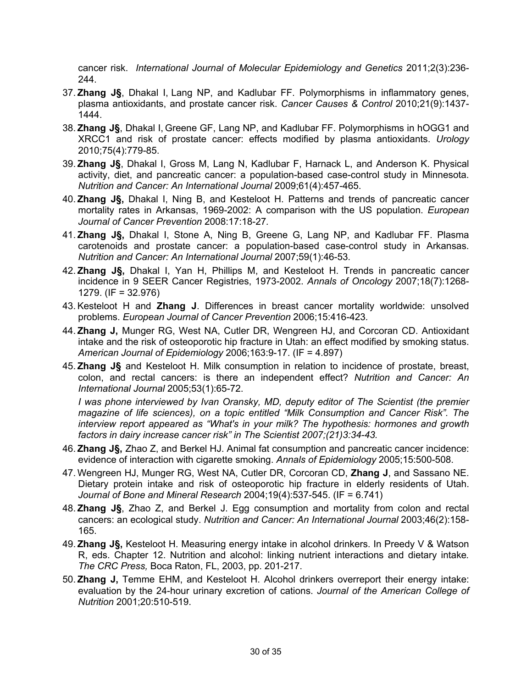cancer risk. *International Journal of Molecular Epidemiology and Genetics* 2011;2(3):236- 244.

- 37. **Zhang J§**, Dhakal I, Lang NP, and Kadlubar FF. Polymorphisms in inflammatory genes, plasma antioxidants, and prostate cancer risk. *Cancer Causes & Control* 2010;21(9):1437- 1444.
- 38. **Zhang J§**, Dhakal I, Greene GF, Lang NP, and Kadlubar FF. Polymorphisms in hOGG1 and XRCC1 and risk of prostate cancer: effects modified by plasma antioxidants. *Urology* 2010;75(4):779-85.
- 39. **Zhang J§**, Dhakal I, Gross M, Lang N, Kadlubar F, Harnack L, and Anderson K. Physical activity, diet, and pancreatic cancer: a population-based case-control study in Minnesota. *Nutrition and Cancer: An International Journal* 2009;61(4):457-465.
- 40. **Zhang J§,** Dhakal I, Ning B, and Kesteloot H. Patterns and trends of pancreatic cancer mortality rates in Arkansas, 1969-2002: A comparison with the US population. *European Journal of Cancer Prevention* 2008:17:18-27*.*
- 41. **Zhang J§,** Dhakal I, Stone A, Ning B, Greene G, Lang NP, and Kadlubar FF. Plasma carotenoids and prostate cancer: a population-based case-control study in Arkansas. *Nutrition and Cancer: An International Journal* 2007;59(1):46-53*.*
- 42. **Zhang J§,** Dhakal I, Yan H, Phillips M, and Kesteloot H. Trends in pancreatic cancer incidence in 9 SEER Cancer Registries, 1973-2002. *Annals of Oncology* 2007;18(7):1268- 1279. (IF = 32.976)
- 43.Kesteloot H and **Zhang J**. Differences in breast cancer mortality worldwide: unsolved problems. *European Journal of Cancer Prevention* 2006;15:416-423*.*
- 44. **Zhang J,** Munger RG, West NA, Cutler DR, Wengreen HJ, and Corcoran CD. Antioxidant intake and the risk of osteoporotic hip fracture in Utah: an effect modified by smoking status. *American Journal of Epidemiology* 2006;163:9-17. (IF = 4.897)
- 45. **Zhang J§** and Kesteloot H. Milk consumption in relation to incidence of prostate, breast, colon, and rectal cancers: is there an independent effect? *Nutrition and Cancer: An International Journal* 2005;53(1):65-72.

*I was phone interviewed by Ivan Oransky, MD, deputy editor of The Scientist (the premier magazine of life sciences), on a topic entitled "Milk Consumption and Cancer Risk". The interview report appeared as "What's in your milk? The hypothesis: hormones and growth factors in dairy increase cancer risk" in The Scientist 2007;(21)3:34-43.*

- 46. **Zhang J§,** Zhao Z, and Berkel HJ. Animal fat consumption and pancreatic cancer incidence: evidence of interaction with cigarette smoking. *Annals of Epidemiology* 2005;15:500-508.
- 47. Wengreen HJ, Munger RG, West NA, Cutler DR, Corcoran CD, **Zhang J**, and Sassano NE. Dietary protein intake and risk of osteoporotic hip fracture in elderly residents of Utah. *Journal of Bone and Mineral Research* 2004;19(4):537-545. (IF = 6.741)
- 48. **Zhang J§**, Zhao Z, and Berkel J. Egg consumption and mortality from colon and rectal cancers: an ecological study. *Nutrition and Cancer: An International Journal* 2003;46(2):158- 165.
- 49. **Zhang J§,** Kesteloot H. Measuring energy intake in alcohol drinkers. In Preedy V & Watson R, eds. Chapter 12. Nutrition and alcohol: linking nutrient interactions and dietary intake*. The CRC Press,* Boca Raton, FL, 2003, pp. 201-217.
- 50. **Zhang J,** Temme EHM, and Kesteloot H. Alcohol drinkers overreport their energy intake: evaluation by the 24-hour urinary excretion of cations. *Journal of the American College of Nutrition* 2001;20:510-519.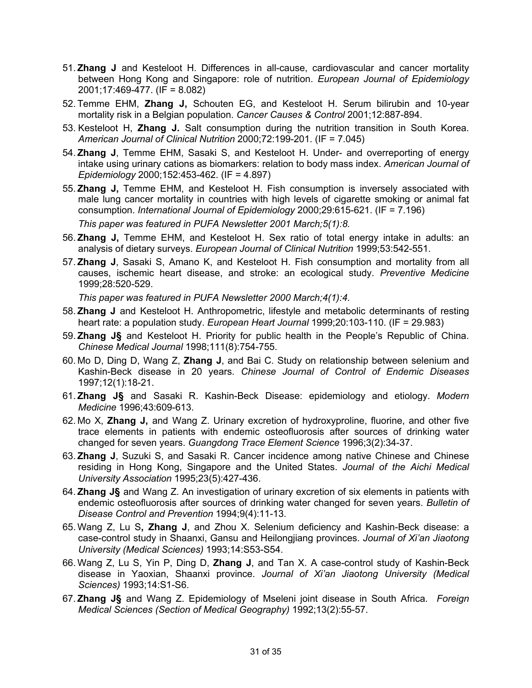- 51. **Zhang J** and Kesteloot H. Differences in all-cause, cardiovascular and cancer mortality between Hong Kong and Singapore: role of nutrition. *European Journal of Epidemiology*  2001;17:469-477. (IF = 8.082)
- 52. Temme EHM, **Zhang J,** Schouten EG, and Kesteloot H. Serum bilirubin and 10-year mortality risk in a Belgian population. *Cancer Causes & Control* 2001;12:887-894.
- 53. Kesteloot H, **Zhang J.** Salt consumption during the nutrition transition in South Korea. *American Journal of Clinical Nutrition* 2000;72:199-201. (IF = 7.045)
- 54. **Zhang J**, Temme EHM, Sasaki S, and Kesteloot H. Under- and overreporting of energy intake using urinary cations as biomarkers: relation to body mass index. *American Journal of Epidemiology* 2000;152:453-462. (IF = 4.897)
- 55. **Zhang J,** Temme EHM, and Kesteloot H. Fish consumption is inversely associated with male lung cancer mortality in countries with high levels of cigarette smoking or animal fat consumption. *International Journal of Epidemiology* 2000;29:615-621. (IF = 7.196) *This paper was featured in PUFA Newsletter 2001 March;5(1):8.*
- 56. **Zhang J,** Temme EHM, and Kesteloot H. Sex ratio of total energy intake in adults: an analysis of dietary surveys. *European Journal of Clinical Nutrition* 1999;53:542-551.
- 57. **Zhang J**, Sasaki S, Amano K, and Kesteloot H. Fish consumption and mortality from all causes, ischemic heart disease, and stroke: an ecological study. *Preventive Medicine* 1999;28:520-529.

*This paper was featured in PUFA Newsletter 2000 March;4(1):4.*

- 58. **Zhang J** and Kesteloot H. Anthropometric, lifestyle and metabolic determinants of resting heart rate: a population study. *European Heart Journal* 1999;20:103-110. (IF = 29.983)
- 59. **Zhang J§** and Kesteloot H. Priority for public health in the People's Republic of China. *Chinese Medical Journal* 1998;111(8):754-755.
- 60. Mo D, Ding D, Wang Z, **Zhang J**, and Bai C. Study on relationship between selenium and Kashin-Beck disease in 20 years. *Chinese Journal of Control of Endemic Diseases* 1997;12(1):18-21.
- 61. **Zhang J§** and Sasaki R. Kashin-Beck Disease: epidemiology and etiology. *Modern Medicine* 1996;43:609-613.
- 62. Mo X, **Zhang J,** and Wang Z. Urinary excretion of hydroxyproline, fluorine, and other five trace elements in patients with endemic osteofluorosis after sources of drinking water changed for seven years. *Guangdong Trace Element Science* 1996;3(2):34-37.
- 63. **Zhang J**, Suzuki S, and Sasaki R. Cancer incidence among native Chinese and Chinese residing in Hong Kong, Singapore and the United States. *Journal of the Aichi Medical University Association* 1995;23(5):427-436.
- 64. **Zhang J§** and Wang Z. An investigation of urinary excretion of six elements in patients with endemic osteofluorosis after sources of drinking water changed for seven years. *Bulletin of Disease Control and Prevention* 1994;9(4):11-13.
- 65. Wang Z, Lu S**, Zhang J**, and Zhou X. Selenium deficiency and Kashin-Beck disease: a case-control study in Shaanxi, Gansu and Heilongjiang provinces. *Journal of Xi'an Jiaotong University (Medical Sciences)* 1993;14:S53-S54.
- 66. Wang Z, Lu S, Yin P, Ding D, **Zhang J**, and Tan X. A case-control study of Kashin-Beck disease in Yaoxian, Shaanxi province. *Journal of Xi'an Jiaotong University (Medical Sciences)* 1993;14:S1-S6.
- 67. **Zhang J§** and Wang Z. Epidemiology of Mseleni joint disease in South Africa. *Foreign Medical Sciences (Section of Medical Geography)* 1992;13(2):55-57.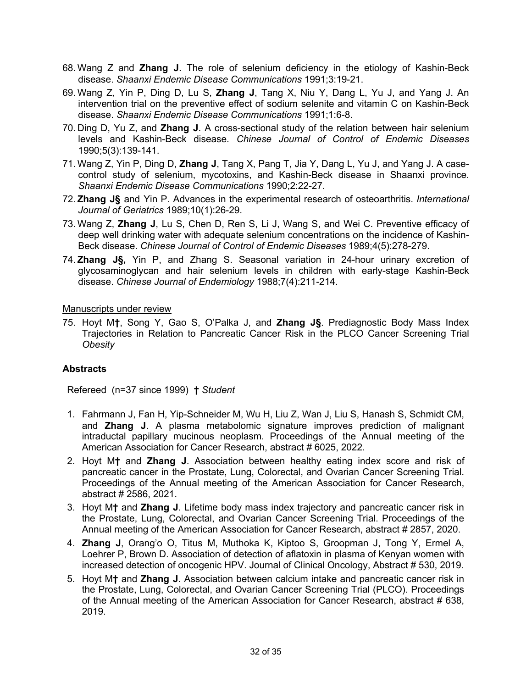- 68. Wang Z and **Zhang J**. The role of selenium deficiency in the etiology of Kashin-Beck disease. *Shaanxi Endemic Disease Communications* 1991;3:19-21.
- 69. Wang Z, Yin P, Ding D, Lu S, **Zhang J**, Tang X, Niu Y, Dang L, Yu J, and Yang J. An intervention trial on the preventive effect of sodium selenite and vitamin C on Kashin-Beck disease. *Shaanxi Endemic Disease Communications* 1991;1:6-8.
- 70. Ding D, Yu Z, and **Zhang J**. A cross-sectional study of the relation between hair selenium levels and Kashin-Beck disease. *Chinese Journal of Control of Endemic Diseases* 1990;5(3):139-141.
- 71. Wang Z, Yin P, Ding D, **Zhang J**, Tang X, Pang T, Jia Y, Dang L, Yu J, and Yang J. A casecontrol study of selenium, mycotoxins, and Kashin-Beck disease in Shaanxi province. *Shaanxi Endemic Disease Communications* 1990;2:22-27.
- 72. **Zhang J§** and Yin P. Advances in the experimental research of osteoarthritis. *International Journal of Geriatrics* 1989;10(1):26-29.
- 73. Wang Z, **Zhang J**, Lu S, Chen D, Ren S, Li J, Wang S, and Wei C. Preventive efficacy of deep well drinking water with adequate selenium concentrations on the incidence of Kashin-Beck disease. *Chinese Journal of Control of Endemic Diseases* 1989;4(5):278-279.
- 74. **Zhang J§,** Yin P, and Zhang S. Seasonal variation in 24-hour urinary excretion of glycosaminoglycan and hair selenium levels in children with early-stage Kashin-Beck disease. *Chinese Journal of Endemiology* 1988;7(4):211-214.

Manuscripts under review

75. Hoyt M**†**, Song Y, Gao S, O'Palka J, and **Zhang J§**. Prediagnostic Body Mass Index Trajectories in Relation to Pancreatic Cancer Risk in the PLCO Cancer Screening Trial *Obesity*

### **Abstracts**

Refereed (n=37 since 1999) **†** *Student*

- 1. Fahrmann J, Fan H, Yip-Schneider M, Wu H, Liu Z, Wan J, Liu S, Hanash S, Schmidt CM, and **Zhang J**. A plasma metabolomic signature improves prediction of malignant intraductal papillary mucinous neoplasm. Proceedings of the Annual meeting of the American Association for Cancer Research, abstract # 6025, 2022.
- 2. Hoyt M**†** and **Zhang J**. Association between healthy eating index score and risk of pancreatic cancer in the Prostate, Lung, Colorectal, and Ovarian Cancer Screening Trial. Proceedings of the Annual meeting of the American Association for Cancer Research, abstract # 2586, 2021.
- 3. Hoyt M**†** and **Zhang J**. Lifetime body mass index trajectory and pancreatic cancer risk in the Prostate, Lung, Colorectal, and Ovarian Cancer Screening Trial. Proceedings of the Annual meeting of the American Association for Cancer Research, abstract # 2857, 2020.
- 4. **Zhang J**, Orang'o O, Titus M, Muthoka K, Kiptoo S, Groopman J, Tong Y, Ermel A, Loehrer P, Brown D. Association of detection of aflatoxin in plasma of Kenyan women with increased detection of oncogenic HPV. Journal of Clinical Oncology, Abstract # 530, 2019.
- 5. Hoyt M**†** and **Zhang J**. Association between calcium intake and pancreatic cancer risk in the Prostate, Lung, Colorectal, and Ovarian Cancer Screening Trial (PLCO). Proceedings of the Annual meeting of the American Association for Cancer Research, abstract # 638, 2019.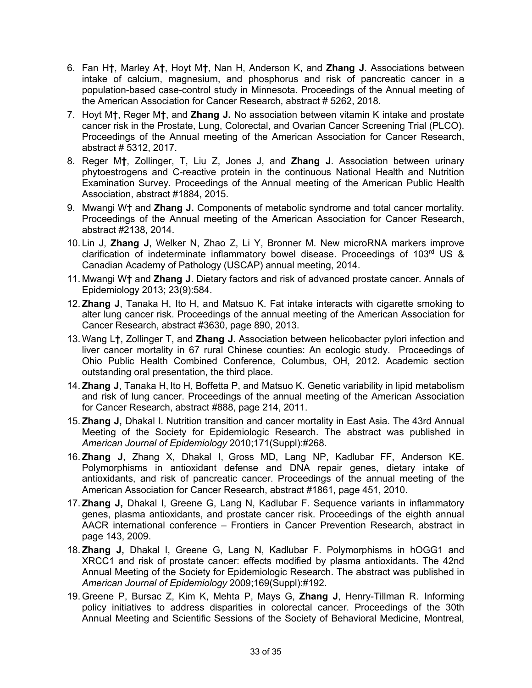- 6. Fan H**†**, Marley A**†**, Hoyt M**†**, Nan H, Anderson K, and **Zhang J**. Associations between intake of calcium, magnesium, and phosphorus and risk of pancreatic cancer in a population-based case-control study in Minnesota. Proceedings of the Annual meeting of the American Association for Cancer Research, abstract # 5262, 2018.
- 7. Hoyt M**†**, Reger M**†**, and **Zhang J.** No association between vitamin K intake and prostate cancer risk in the Prostate, Lung, Colorectal, and Ovarian Cancer Screening Trial (PLCO). Proceedings of the Annual meeting of the American Association for Cancer Research, abstract # 5312, 2017.
- 8. Reger M**†**, Zollinger, T, Liu Z, Jones J, and **Zhang J**. Association between urinary phytoestrogens and C-reactive protein in the continuous National Health and Nutrition Examination Survey. Proceedings of the Annual meeting of the American Public Health Association, abstract #1884, 2015.
- 9. Mwangi W**†** and **Zhang J.** Components of metabolic syndrome and total cancer mortality. Proceedings of the Annual meeting of the American Association for Cancer Research, abstract #2138, 2014.
- 10. Lin J, **Zhang J**, Welker N, Zhao Z, Li Y, Bronner M. New microRNA markers improve clarification of indeterminate inflammatory bowel disease. Proceedings of  $103<sup>rd</sup> US$  & Canadian Academy of Pathology (USCAP) annual meeting, 2014.
- 11. Mwangi W**†** and **Zhang J**. Dietary factors and risk of advanced prostate cancer. Annals of Epidemiology 2013; 23(9):584.
- 12. **Zhang J**, Tanaka H, Ito H, and Matsuo K. Fat intake interacts with cigarette smoking to alter lung cancer risk. Proceedings of the annual meeting of the American Association for Cancer Research, abstract #3630, page 890, 2013.
- 13. Wang L**†**, Zollinger T, and **Zhang J.** Association between helicobacter pylori infection and liver cancer mortality in 67 rural Chinese counties: An ecologic study. Proceedings of Ohio Public Health Combined Conference, Columbus, OH, 2012. Academic section outstanding oral presentation, the third place.
- 14. **Zhang J**, Tanaka H, Ito H, Boffetta P, and Matsuo K. Genetic variability in lipid metabolism and risk of lung cancer. Proceedings of the annual meeting of the American Association for Cancer Research, abstract #888, page 214, 2011.
- 15. **Zhang J,** Dhakal I. Nutrition transition and cancer mortality in East Asia. The 43rd Annual Meeting of the Society for Epidemiologic Research. The abstract was published in *American Journal of Epidemiology* 2010;171(Suppl):#268.
- 16. **Zhang J**, Zhang X, Dhakal I, Gross MD, Lang NP, Kadlubar FF, Anderson KE. Polymorphisms in antioxidant defense and DNA repair genes, dietary intake of antioxidants, and risk of pancreatic cancer. Proceedings of the annual meeting of the American Association for Cancer Research, abstract #1861, page 451, 2010.
- 17. **Zhang J,** Dhakal I, Greene G, Lang N, Kadlubar F. Sequence variants in inflammatory genes, plasma antioxidants, and prostate cancer risk. Proceedings of the eighth annual AACR international conference – Frontiers in Cancer Prevention Research, abstract in page 143, 2009.
- 18. **Zhang J,** Dhakal I, Greene G, Lang N, Kadlubar F. Polymorphisms in hOGG1 and XRCC1 and risk of prostate cancer: effects modified by plasma antioxidants. The 42nd Annual Meeting of the Society for Epidemiologic Research. The abstract was published in *American Journal of Epidemiology* 2009;169(Suppl):#192.
- 19. Greene P, Bursac Z, Kim K, Mehta P, Mays G, **Zhang J**, Henry-Tillman R. Informing policy initiatives to address disparities in colorectal cancer. Proceedings of the 30th Annual Meeting and Scientific Sessions of the Society of Behavioral Medicine, Montreal,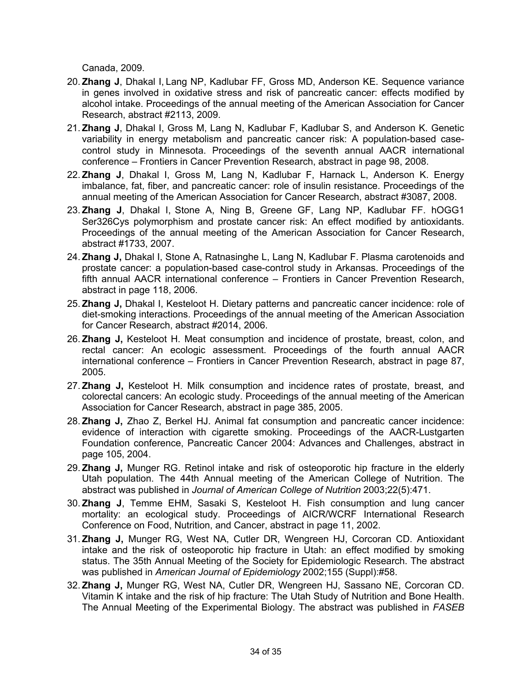Canada, 2009.

- 20. **Zhang J**, Dhakal I, Lang NP, Kadlubar FF, Gross MD, Anderson KE. Sequence variance in genes involved in oxidative stress and risk of pancreatic cancer: effects modified by alcohol intake. Proceedings of the annual meeting of the American Association for Cancer Research, abstract #2113, 2009.
- 21. **Zhang J**, Dhakal I, Gross M, Lang N, Kadlubar F, Kadlubar S, and Anderson K. Genetic variability in energy metabolism and pancreatic cancer risk: A population-based casecontrol study in Minnesota. Proceedings of the seventh annual AACR international conference – Frontiers in Cancer Prevention Research, abstract in page 98, 2008.
- 22. **Zhang J**, Dhakal I, Gross M, Lang N, Kadlubar F, Harnack L, Anderson K. Energy imbalance, fat, fiber, and pancreatic cancer: role of insulin resistance. Proceedings of the annual meeting of the American Association for Cancer Research, abstract #3087, 2008.
- 23. **Zhang J**, Dhakal I, Stone A, Ning B, Greene GF, Lang NP, Kadlubar FF. hOGG1 Ser326Cys polymorphism and prostate cancer risk: An effect modified by antioxidants. Proceedings of the annual meeting of the American Association for Cancer Research, abstract #1733, 2007.
- 24. **Zhang J,** Dhakal I, Stone A, Ratnasinghe L, Lang N, Kadlubar F. Plasma carotenoids and prostate cancer: a population-based case-control study in Arkansas. Proceedings of the fifth annual AACR international conference – Frontiers in Cancer Prevention Research, abstract in page 118, 2006.
- 25. **Zhang J,** Dhakal I, Kesteloot H. Dietary patterns and pancreatic cancer incidence: role of diet-smoking interactions. Proceedings of the annual meeting of the American Association for Cancer Research, abstract #2014, 2006.
- 26. **Zhang J,** Kesteloot H. Meat consumption and incidence of prostate, breast, colon, and rectal cancer: An ecologic assessment. Proceedings of the fourth annual AACR international conference – Frontiers in Cancer Prevention Research, abstract in page 87, 2005.
- 27. **Zhang J,** Kesteloot H. Milk consumption and incidence rates of prostate, breast, and colorectal cancers: An ecologic study. Proceedings of the annual meeting of the American Association for Cancer Research, abstract in page 385, 2005.
- 28. **Zhang J,** Zhao Z, Berkel HJ. Animal fat consumption and pancreatic cancer incidence: evidence of interaction with cigarette smoking. Proceedings of the AACR-Lustgarten Foundation conference, Pancreatic Cancer 2004: Advances and Challenges, abstract in page 105, 2004.
- 29. **Zhang J,** Munger RG. Retinol intake and risk of osteoporotic hip fracture in the elderly Utah population. The 44th Annual meeting of the American College of Nutrition. The abstract was published in *Journal of American College of Nutrition* 2003;22(5):471.
- 30. **Zhang J**, Temme EHM, Sasaki S, Kesteloot H. Fish consumption and lung cancer mortality: an ecological study. Proceedings of AICR/WCRF International Research Conference on Food, Nutrition, and Cancer, abstract in page 11, 2002.
- 31. **Zhang J,** Munger RG, West NA, Cutler DR, Wengreen HJ, Corcoran CD. Antioxidant intake and the risk of osteoporotic hip fracture in Utah: an effect modified by smoking status. The 35th Annual Meeting of the Society for Epidemiologic Research. The abstract was published in *American Journal of Epidemiology* 2002;155 (Suppl):#58.
- 32. **Zhang J,** Munger RG, West NA, Cutler DR, Wengreen HJ, Sassano NE, Corcoran CD. Vitamin K intake and the risk of hip fracture: The Utah Study of Nutrition and Bone Health. The Annual Meeting of the Experimental Biology. The abstract was published in *FASEB*